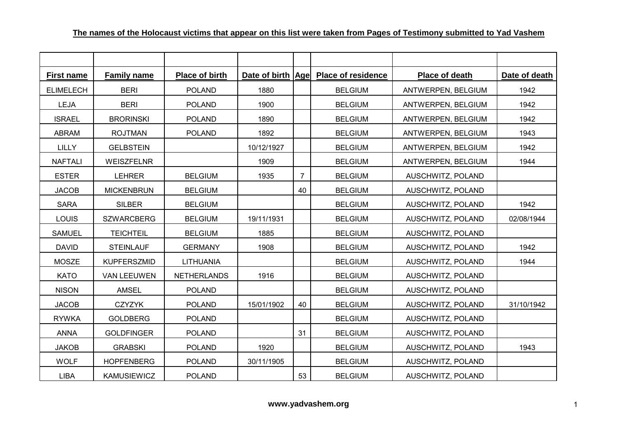| <b>First name</b> | <b>Family name</b> | Place of birth     | Date of birth Age |                | <b>Place of residence</b> | Place of death     | Date of death |
|-------------------|--------------------|--------------------|-------------------|----------------|---------------------------|--------------------|---------------|
| <b>ELIMELECH</b>  | <b>BERI</b>        | <b>POLAND</b>      | 1880              |                | <b>BELGIUM</b>            | ANTWERPEN, BELGIUM | 1942          |
| <b>LEJA</b>       | <b>BERI</b>        | <b>POLAND</b>      | 1900              |                | <b>BELGIUM</b>            | ANTWERPEN, BELGIUM | 1942          |
| <b>ISRAEL</b>     | <b>BRORINSKI</b>   | <b>POLAND</b>      | 1890              |                | <b>BELGIUM</b>            | ANTWERPEN, BELGIUM | 1942          |
| <b>ABRAM</b>      | <b>ROJTMAN</b>     | <b>POLAND</b>      | 1892              |                | <b>BELGIUM</b>            | ANTWERPEN, BELGIUM | 1943          |
| <b>LILLY</b>      | <b>GELBSTEIN</b>   |                    | 10/12/1927        |                | <b>BELGIUM</b>            | ANTWERPEN, BELGIUM | 1942          |
| <b>NAFTALI</b>    | <b>WEISZFELNR</b>  |                    | 1909              |                | <b>BELGIUM</b>            | ANTWERPEN, BELGIUM | 1944          |
| <b>ESTER</b>      | <b>LEHRER</b>      | <b>BELGIUM</b>     | 1935              | $\overline{7}$ | <b>BELGIUM</b>            | AUSCHWITZ, POLAND  |               |
| <b>JACOB</b>      | <b>MICKENBRUN</b>  | <b>BELGIUM</b>     |                   | 40             | <b>BELGIUM</b>            | AUSCHWITZ, POLAND  |               |
| <b>SARA</b>       | <b>SILBER</b>      | <b>BELGIUM</b>     |                   |                | <b>BELGIUM</b>            | AUSCHWITZ, POLAND  | 1942          |
| LOUIS             | <b>SZWARCBERG</b>  | <b>BELGIUM</b>     | 19/11/1931        |                | <b>BELGIUM</b>            | AUSCHWITZ, POLAND  | 02/08/1944    |
| <b>SAMUEL</b>     | <b>TEICHTEIL</b>   | <b>BELGIUM</b>     | 1885              |                | <b>BELGIUM</b>            | AUSCHWITZ, POLAND  |               |
| <b>DAVID</b>      | <b>STEINLAUF</b>   | <b>GERMANY</b>     | 1908              |                | <b>BELGIUM</b>            | AUSCHWITZ, POLAND  | 1942          |
| <b>MOSZE</b>      | <b>KUPFERSZMID</b> | <b>LITHUANIA</b>   |                   |                | <b>BELGIUM</b>            | AUSCHWITZ, POLAND  | 1944          |
| <b>KATO</b>       | <b>VAN LEEUWEN</b> | <b>NETHERLANDS</b> | 1916              |                | <b>BELGIUM</b>            | AUSCHWITZ, POLAND  |               |
| <b>NISON</b>      | <b>AMSEL</b>       | <b>POLAND</b>      |                   |                | <b>BELGIUM</b>            | AUSCHWITZ, POLAND  |               |
| <b>JACOB</b>      | <b>CZYZYK</b>      | <b>POLAND</b>      | 15/01/1902        | 40             | <b>BELGIUM</b>            | AUSCHWITZ, POLAND  | 31/10/1942    |
| <b>RYWKA</b>      | <b>GOLDBERG</b>    | <b>POLAND</b>      |                   |                | <b>BELGIUM</b>            | AUSCHWITZ, POLAND  |               |
| <b>ANNA</b>       | <b>GOLDFINGER</b>  | <b>POLAND</b>      |                   | 31             | <b>BELGIUM</b>            | AUSCHWITZ, POLAND  |               |
| <b>JAKOB</b>      | <b>GRABSKI</b>     | <b>POLAND</b>      | 1920              |                | <b>BELGIUM</b>            | AUSCHWITZ, POLAND  | 1943          |
| <b>WOLF</b>       | <b>HOPFENBERG</b>  | <b>POLAND</b>      | 30/11/1905        |                | <b>BELGIUM</b>            | AUSCHWITZ, POLAND  |               |
| <b>LIBA</b>       | <b>KAMUSIEWICZ</b> | <b>POLAND</b>      |                   | 53             | <b>BELGIUM</b>            | AUSCHWITZ, POLAND  |               |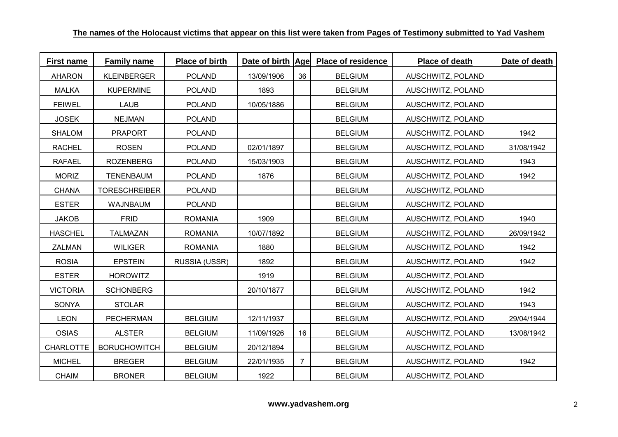| <b>First name</b> | <b>Family name</b>   | Place of birth | Date of birth Age |                | <b>Place of residence</b> | Place of death    | Date of death |
|-------------------|----------------------|----------------|-------------------|----------------|---------------------------|-------------------|---------------|
| <b>AHARON</b>     | <b>KLEINBERGER</b>   | <b>POLAND</b>  | 13/09/1906        | 36             | <b>BELGIUM</b>            | AUSCHWITZ, POLAND |               |
| <b>MALKA</b>      | <b>KUPERMINE</b>     | <b>POLAND</b>  | 1893              |                | <b>BELGIUM</b>            | AUSCHWITZ, POLAND |               |
| <b>FEIWEL</b>     | <b>LAUB</b>          | <b>POLAND</b>  | 10/05/1886        |                | <b>BELGIUM</b>            | AUSCHWITZ, POLAND |               |
| <b>JOSEK</b>      | <b>NEJMAN</b>        | <b>POLAND</b>  |                   |                | <b>BELGIUM</b>            | AUSCHWITZ, POLAND |               |
| <b>SHALOM</b>     | <b>PRAPORT</b>       | POLAND         |                   |                | <b>BELGIUM</b>            | AUSCHWITZ, POLAND | 1942          |
| <b>RACHEL</b>     | <b>ROSEN</b>         | <b>POLAND</b>  | 02/01/1897        |                | <b>BELGIUM</b>            | AUSCHWITZ, POLAND | 31/08/1942    |
| <b>RAFAEL</b>     | <b>ROZENBERG</b>     | <b>POLAND</b>  | 15/03/1903        |                | <b>BELGIUM</b>            | AUSCHWITZ, POLAND | 1943          |
| <b>MORIZ</b>      | <b>TENENBAUM</b>     | <b>POLAND</b>  | 1876              |                | <b>BELGIUM</b>            | AUSCHWITZ, POLAND | 1942          |
| <b>CHANA</b>      | <b>TORESCHREIBER</b> | <b>POLAND</b>  |                   |                | <b>BELGIUM</b>            | AUSCHWITZ, POLAND |               |
| <b>ESTER</b>      | <b>WAJNBAUM</b>      | <b>POLAND</b>  |                   |                | <b>BELGIUM</b>            | AUSCHWITZ, POLAND |               |
| <b>JAKOB</b>      | <b>FRID</b>          | <b>ROMANIA</b> | 1909              |                | <b>BELGIUM</b>            | AUSCHWITZ, POLAND | 1940          |
| <b>HASCHEL</b>    | <b>TALMAZAN</b>      | <b>ROMANIA</b> | 10/07/1892        |                | <b>BELGIUM</b>            | AUSCHWITZ, POLAND | 26/09/1942    |
| <b>ZALMAN</b>     | <b>WILIGER</b>       | <b>ROMANIA</b> | 1880              |                | <b>BELGIUM</b>            | AUSCHWITZ, POLAND | 1942          |
| <b>ROSIA</b>      | <b>EPSTEIN</b>       | RUSSIA (USSR)  | 1892              |                | <b>BELGIUM</b>            | AUSCHWITZ, POLAND | 1942          |
| <b>ESTER</b>      | <b>HOROWITZ</b>      |                | 1919              |                | <b>BELGIUM</b>            | AUSCHWITZ, POLAND |               |
| <b>VICTORIA</b>   | <b>SCHONBERG</b>     |                | 20/10/1877        |                | <b>BELGIUM</b>            | AUSCHWITZ, POLAND | 1942          |
| SONYA             | <b>STOLAR</b>        |                |                   |                | <b>BELGIUM</b>            | AUSCHWITZ, POLAND | 1943          |
| <b>LEON</b>       | <b>PECHERMAN</b>     | <b>BELGIUM</b> | 12/11/1937        |                | <b>BELGIUM</b>            | AUSCHWITZ, POLAND | 29/04/1944    |
| <b>OSIAS</b>      | <b>ALSTER</b>        | <b>BELGIUM</b> | 11/09/1926        | 16             | <b>BELGIUM</b>            | AUSCHWITZ, POLAND | 13/08/1942    |
| <b>CHARLOTTE</b>  | <b>BORUCHOWITCH</b>  | <b>BELGIUM</b> | 20/12/1894        |                | <b>BELGIUM</b>            | AUSCHWITZ, POLAND |               |
| <b>MICHEL</b>     | <b>BREGER</b>        | <b>BELGIUM</b> | 22/01/1935        | $\overline{7}$ | <b>BELGIUM</b>            | AUSCHWITZ, POLAND | 1942          |
| <b>CHAIM</b>      | <b>BRONER</b>        | <b>BELGIUM</b> | 1922              |                | <b>BELGIUM</b>            | AUSCHWITZ, POLAND |               |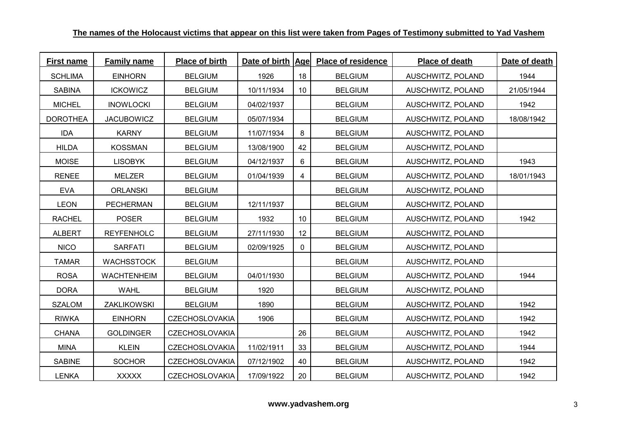| <b>First name</b> | <b>Family name</b> | Place of birth        | Date of birth   Age |              | <b>Place of residence</b> | Place of death    | Date of death |
|-------------------|--------------------|-----------------------|---------------------|--------------|---------------------------|-------------------|---------------|
| <b>SCHLIMA</b>    | <b>EINHORN</b>     | <b>BELGIUM</b>        | 1926                | 18           | <b>BELGIUM</b>            | AUSCHWITZ, POLAND | 1944          |
| <b>SABINA</b>     | <b>ICKOWICZ</b>    | <b>BELGIUM</b>        | 10/11/1934          | 10           | <b>BELGIUM</b>            | AUSCHWITZ, POLAND | 21/05/1944    |
| <b>MICHEL</b>     | <b>INOWLOCKI</b>   | <b>BELGIUM</b>        | 04/02/1937          |              | <b>BELGIUM</b>            | AUSCHWITZ, POLAND | 1942          |
| <b>DOROTHEA</b>   | <b>JACUBOWICZ</b>  | <b>BELGIUM</b>        | 05/07/1934          |              | <b>BELGIUM</b>            | AUSCHWITZ, POLAND | 18/08/1942    |
| <b>IDA</b>        | <b>KARNY</b>       | <b>BELGIUM</b>        | 11/07/1934          | 8            | <b>BELGIUM</b>            | AUSCHWITZ, POLAND |               |
| <b>HILDA</b>      | <b>KOSSMAN</b>     | <b>BELGIUM</b>        | 13/08/1900          | 42           | <b>BELGIUM</b>            | AUSCHWITZ, POLAND |               |
| <b>MOISE</b>      | <b>LISOBYK</b>     | <b>BELGIUM</b>        | 04/12/1937          | 6            | <b>BELGIUM</b>            | AUSCHWITZ, POLAND | 1943          |
| <b>RENEE</b>      | <b>MELZER</b>      | <b>BELGIUM</b>        | 01/04/1939          | 4            | <b>BELGIUM</b>            | AUSCHWITZ, POLAND | 18/01/1943    |
| <b>EVA</b>        | <b>ORLANSKI</b>    | <b>BELGIUM</b>        |                     |              | <b>BELGIUM</b>            | AUSCHWITZ, POLAND |               |
| <b>LEON</b>       | <b>PECHERMAN</b>   | <b>BELGIUM</b>        | 12/11/1937          |              | <b>BELGIUM</b>            | AUSCHWITZ, POLAND |               |
| <b>RACHEL</b>     | <b>POSER</b>       | <b>BELGIUM</b>        | 1932                | 10           | <b>BELGIUM</b>            | AUSCHWITZ, POLAND | 1942          |
| <b>ALBERT</b>     | <b>REYFENHOLC</b>  | <b>BELGIUM</b>        | 27/11/1930          | 12           | <b>BELGIUM</b>            | AUSCHWITZ, POLAND |               |
| <b>NICO</b>       | <b>SARFATI</b>     | <b>BELGIUM</b>        | 02/09/1925          | $\mathbf{0}$ | <b>BELGIUM</b>            | AUSCHWITZ, POLAND |               |
| <b>TAMAR</b>      | <b>WACHSSTOCK</b>  | <b>BELGIUM</b>        |                     |              | <b>BELGIUM</b>            | AUSCHWITZ, POLAND |               |
| <b>ROSA</b>       | <b>WACHTENHEIM</b> | <b>BELGIUM</b>        | 04/01/1930          |              | <b>BELGIUM</b>            | AUSCHWITZ, POLAND | 1944          |
| <b>DORA</b>       | <b>WAHL</b>        | <b>BELGIUM</b>        | 1920                |              | <b>BELGIUM</b>            | AUSCHWITZ, POLAND |               |
| <b>SZALOM</b>     | ZAKLIKOWSKI        | <b>BELGIUM</b>        | 1890                |              | <b>BELGIUM</b>            | AUSCHWITZ, POLAND | 1942          |
| <b>RIWKA</b>      | <b>EINHORN</b>     | <b>CZECHOSLOVAKIA</b> | 1906                |              | <b>BELGIUM</b>            | AUSCHWITZ, POLAND | 1942          |
| <b>CHANA</b>      | <b>GOLDINGER</b>   | <b>CZECHOSLOVAKIA</b> |                     | 26           | <b>BELGIUM</b>            | AUSCHWITZ, POLAND | 1942          |
| <b>MINA</b>       | <b>KLEIN</b>       | <b>CZECHOSLOVAKIA</b> | 11/02/1911          | 33           | <b>BELGIUM</b>            | AUSCHWITZ, POLAND | 1944          |
| <b>SABINE</b>     | <b>SOCHOR</b>      | <b>CZECHOSLOVAKIA</b> | 07/12/1902          | 40           | <b>BELGIUM</b>            | AUSCHWITZ, POLAND | 1942          |
| <b>LENKA</b>      | <b>XXXXX</b>       | <b>CZECHOSLOVAKIA</b> | 17/09/1922          | 20           | <b>BELGIUM</b>            | AUSCHWITZ, POLAND | 1942          |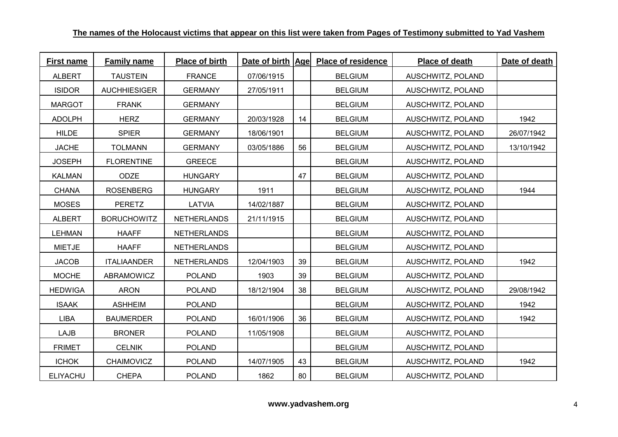| <b>First name</b> | <b>Family name</b>  | Place of birth     |            |    | Date of birth Age Place of residence | Place of death    | Date of death |
|-------------------|---------------------|--------------------|------------|----|--------------------------------------|-------------------|---------------|
| <b>ALBERT</b>     | <b>TAUSTEIN</b>     | <b>FRANCE</b>      | 07/06/1915 |    | <b>BELGIUM</b>                       | AUSCHWITZ, POLAND |               |
| <b>ISIDOR</b>     | <b>AUCHHIESIGER</b> | <b>GERMANY</b>     | 27/05/1911 |    | <b>BELGIUM</b>                       | AUSCHWITZ, POLAND |               |
| <b>MARGOT</b>     | <b>FRANK</b>        | <b>GERMANY</b>     |            |    | <b>BELGIUM</b>                       | AUSCHWITZ, POLAND |               |
| <b>ADOLPH</b>     | <b>HERZ</b>         | <b>GERMANY</b>     | 20/03/1928 | 14 | <b>BELGIUM</b>                       | AUSCHWITZ, POLAND | 1942          |
| <b>HILDE</b>      | <b>SPIER</b>        | <b>GERMANY</b>     | 18/06/1901 |    | <b>BELGIUM</b>                       | AUSCHWITZ, POLAND | 26/07/1942    |
| <b>JACHE</b>      | <b>TOLMANN</b>      | <b>GERMANY</b>     | 03/05/1886 | 56 | <b>BELGIUM</b>                       | AUSCHWITZ, POLAND | 13/10/1942    |
| <b>JOSEPH</b>     | <b>FLORENTINE</b>   | <b>GREECE</b>      |            |    | <b>BELGIUM</b>                       | AUSCHWITZ, POLAND |               |
| <b>KALMAN</b>     | <b>ODZE</b>         | <b>HUNGARY</b>     |            | 47 | <b>BELGIUM</b>                       | AUSCHWITZ, POLAND |               |
| <b>CHANA</b>      | <b>ROSENBERG</b>    | <b>HUNGARY</b>     | 1911       |    | <b>BELGIUM</b>                       | AUSCHWITZ, POLAND | 1944          |
| <b>MOSES</b>      | <b>PERETZ</b>       | LATVIA             | 14/02/1887 |    | <b>BELGIUM</b>                       | AUSCHWITZ, POLAND |               |
| <b>ALBERT</b>     | <b>BORUCHOWITZ</b>  | <b>NETHERLANDS</b> | 21/11/1915 |    | <b>BELGIUM</b>                       | AUSCHWITZ, POLAND |               |
| <b>LEHMAN</b>     | <b>HAAFF</b>        | <b>NETHERLANDS</b> |            |    | <b>BELGIUM</b>                       | AUSCHWITZ, POLAND |               |
| <b>MIETJE</b>     | <b>HAAFF</b>        | <b>NETHERLANDS</b> |            |    | <b>BELGIUM</b>                       | AUSCHWITZ, POLAND |               |
| <b>JACOB</b>      | <b>ITALIAANDER</b>  | <b>NETHERLANDS</b> | 12/04/1903 | 39 | <b>BELGIUM</b>                       | AUSCHWITZ, POLAND | 1942          |
| <b>MOCHE</b>      | ABRAMOWICZ          | <b>POLAND</b>      | 1903       | 39 | <b>BELGIUM</b>                       | AUSCHWITZ, POLAND |               |
| <b>HEDWIGA</b>    | <b>ARON</b>         | <b>POLAND</b>      | 18/12/1904 | 38 | <b>BELGIUM</b>                       | AUSCHWITZ, POLAND | 29/08/1942    |
| <b>ISAAK</b>      | <b>ASHHEIM</b>      | <b>POLAND</b>      |            |    | <b>BELGIUM</b>                       | AUSCHWITZ, POLAND | 1942          |
| LIBA              | <b>BAUMERDER</b>    | <b>POLAND</b>      | 16/01/1906 | 36 | <b>BELGIUM</b>                       | AUSCHWITZ, POLAND | 1942          |
| <b>LAJB</b>       | <b>BRONER</b>       | <b>POLAND</b>      | 11/05/1908 |    | <b>BELGIUM</b>                       | AUSCHWITZ, POLAND |               |
| <b>FRIMET</b>     | <b>CELNIK</b>       | <b>POLAND</b>      |            |    | <b>BELGIUM</b>                       | AUSCHWITZ, POLAND |               |
| <b>ICHOK</b>      | <b>CHAIMOVICZ</b>   | <b>POLAND</b>      | 14/07/1905 | 43 | <b>BELGIUM</b>                       | AUSCHWITZ, POLAND | 1942          |
| <b>ELIYACHU</b>   | <b>CHEPA</b>        | <b>POLAND</b>      | 1862       | 80 | <b>BELGIUM</b>                       | AUSCHWITZ, POLAND |               |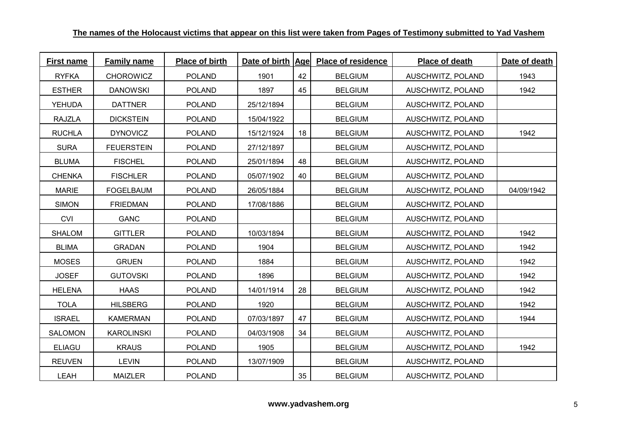| <b>First name</b> | <b>Family name</b> | Place of birth | Date of birth   Age |    | <b>Place of residence</b> | Place of death    | Date of death |
|-------------------|--------------------|----------------|---------------------|----|---------------------------|-------------------|---------------|
| <b>RYFKA</b>      | <b>CHOROWICZ</b>   | <b>POLAND</b>  | 1901                | 42 | <b>BELGIUM</b>            | AUSCHWITZ, POLAND | 1943          |
| <b>ESTHER</b>     | <b>DANOWSKI</b>    | <b>POLAND</b>  | 1897                | 45 | <b>BELGIUM</b>            | AUSCHWITZ, POLAND | 1942          |
| <b>YEHUDA</b>     | <b>DATTNER</b>     | <b>POLAND</b>  | 25/12/1894          |    | <b>BELGIUM</b>            | AUSCHWITZ, POLAND |               |
| <b>RAJZLA</b>     | <b>DICKSTEIN</b>   | <b>POLAND</b>  | 15/04/1922          |    | <b>BELGIUM</b>            | AUSCHWITZ, POLAND |               |
| <b>RUCHLA</b>     | <b>DYNOVICZ</b>    | <b>POLAND</b>  | 15/12/1924          | 18 | <b>BELGIUM</b>            | AUSCHWITZ, POLAND | 1942          |
| <b>SURA</b>       | <b>FEUERSTEIN</b>  | <b>POLAND</b>  | 27/12/1897          |    | <b>BELGIUM</b>            | AUSCHWITZ, POLAND |               |
| <b>BLUMA</b>      | <b>FISCHEL</b>     | <b>POLAND</b>  | 25/01/1894          | 48 | <b>BELGIUM</b>            | AUSCHWITZ, POLAND |               |
| <b>CHENKA</b>     | <b>FISCHLER</b>    | <b>POLAND</b>  | 05/07/1902          | 40 | <b>BELGIUM</b>            | AUSCHWITZ, POLAND |               |
| <b>MARIE</b>      | <b>FOGELBAUM</b>   | <b>POLAND</b>  | 26/05/1884          |    | <b>BELGIUM</b>            | AUSCHWITZ, POLAND | 04/09/1942    |
| <b>SIMON</b>      | <b>FRIEDMAN</b>    | <b>POLAND</b>  | 17/08/1886          |    | <b>BELGIUM</b>            | AUSCHWITZ, POLAND |               |
| <b>CVI</b>        | <b>GANC</b>        | <b>POLAND</b>  |                     |    | <b>BELGIUM</b>            | AUSCHWITZ, POLAND |               |
| <b>SHALOM</b>     | <b>GITTLER</b>     | <b>POLAND</b>  | 10/03/1894          |    | <b>BELGIUM</b>            | AUSCHWITZ, POLAND | 1942          |
| <b>BLIMA</b>      | <b>GRADAN</b>      | <b>POLAND</b>  | 1904                |    | <b>BELGIUM</b>            | AUSCHWITZ, POLAND | 1942          |
| <b>MOSES</b>      | <b>GRUEN</b>       | <b>POLAND</b>  | 1884                |    | <b>BELGIUM</b>            | AUSCHWITZ, POLAND | 1942          |
| <b>JOSEF</b>      | <b>GUTOVSKI</b>    | <b>POLAND</b>  | 1896                |    | <b>BELGIUM</b>            | AUSCHWITZ, POLAND | 1942          |
| <b>HELENA</b>     | <b>HAAS</b>        | <b>POLAND</b>  | 14/01/1914          | 28 | <b>BELGIUM</b>            | AUSCHWITZ, POLAND | 1942          |
| <b>TOLA</b>       | <b>HILSBERG</b>    | <b>POLAND</b>  | 1920                |    | <b>BELGIUM</b>            | AUSCHWITZ, POLAND | 1942          |
| <b>ISRAEL</b>     | <b>KAMERMAN</b>    | <b>POLAND</b>  | 07/03/1897          | 47 | <b>BELGIUM</b>            | AUSCHWITZ, POLAND | 1944          |
| <b>SALOMON</b>    | <b>KAROLINSKI</b>  | <b>POLAND</b>  | 04/03/1908          | 34 | <b>BELGIUM</b>            | AUSCHWITZ, POLAND |               |
| <b>ELIAGU</b>     | <b>KRAUS</b>       | <b>POLAND</b>  | 1905                |    | <b>BELGIUM</b>            | AUSCHWITZ, POLAND | 1942          |
| <b>REUVEN</b>     | <b>LEVIN</b>       | <b>POLAND</b>  | 13/07/1909          |    | <b>BELGIUM</b>            | AUSCHWITZ, POLAND |               |
| LEAH              | <b>MAIZLER</b>     | <b>POLAND</b>  |                     | 35 | <b>BELGIUM</b>            | AUSCHWITZ, POLAND |               |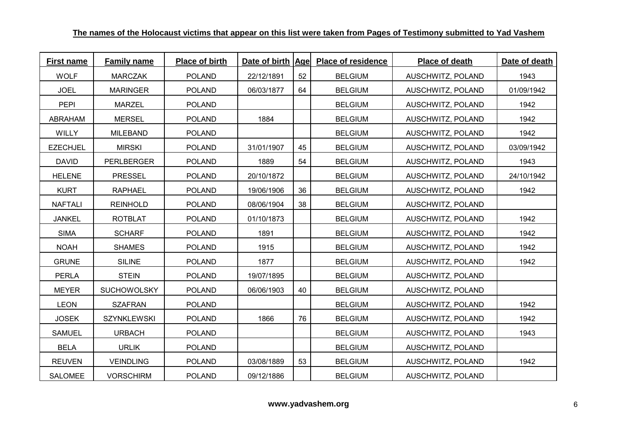| <b>First name</b> | <b>Family name</b> | Place of birth | Date of birth   Age |    | <b>Place of residence</b> | Place of death    | Date of death |
|-------------------|--------------------|----------------|---------------------|----|---------------------------|-------------------|---------------|
| <b>WOLF</b>       | <b>MARCZAK</b>     | <b>POLAND</b>  | 22/12/1891          | 52 | <b>BELGIUM</b>            | AUSCHWITZ, POLAND | 1943          |
| <b>JOEL</b>       | <b>MARINGER</b>    | <b>POLAND</b>  | 06/03/1877          | 64 | <b>BELGIUM</b>            | AUSCHWITZ, POLAND | 01/09/1942    |
| <b>PEPI</b>       | <b>MARZEL</b>      | <b>POLAND</b>  |                     |    | <b>BELGIUM</b>            | AUSCHWITZ, POLAND | 1942          |
| ABRAHAM           | <b>MERSEL</b>      | <b>POLAND</b>  | 1884                |    | <b>BELGIUM</b>            | AUSCHWITZ, POLAND | 1942          |
| <b>WILLY</b>      | <b>MILEBAND</b>    | <b>POLAND</b>  |                     |    | <b>BELGIUM</b>            | AUSCHWITZ, POLAND | 1942          |
| <b>EZECHJEL</b>   | <b>MIRSKI</b>      | <b>POLAND</b>  | 31/01/1907          | 45 | <b>BELGIUM</b>            | AUSCHWITZ, POLAND | 03/09/1942    |
| <b>DAVID</b>      | <b>PERLBERGER</b>  | <b>POLAND</b>  | 1889                | 54 | <b>BELGIUM</b>            | AUSCHWITZ, POLAND | 1943          |
| <b>HELENE</b>     | <b>PRESSEL</b>     | <b>POLAND</b>  | 20/10/1872          |    | <b>BELGIUM</b>            | AUSCHWITZ, POLAND | 24/10/1942    |
| <b>KURT</b>       | <b>RAPHAEL</b>     | <b>POLAND</b>  | 19/06/1906          | 36 | <b>BELGIUM</b>            | AUSCHWITZ, POLAND | 1942          |
| <b>NAFTALI</b>    | <b>REINHOLD</b>    | <b>POLAND</b>  | 08/06/1904          | 38 | <b>BELGIUM</b>            | AUSCHWITZ, POLAND |               |
| <b>JANKEL</b>     | <b>ROTBLAT</b>     | <b>POLAND</b>  | 01/10/1873          |    | <b>BELGIUM</b>            | AUSCHWITZ, POLAND | 1942          |
| <b>SIMA</b>       | <b>SCHARF</b>      | <b>POLAND</b>  | 1891                |    | <b>BELGIUM</b>            | AUSCHWITZ, POLAND | 1942          |
| <b>NOAH</b>       | <b>SHAMES</b>      | <b>POLAND</b>  | 1915                |    | <b>BELGIUM</b>            | AUSCHWITZ, POLAND | 1942          |
| <b>GRUNE</b>      | <b>SILINE</b>      | <b>POLAND</b>  | 1877                |    | <b>BELGIUM</b>            | AUSCHWITZ, POLAND | 1942          |
| <b>PERLA</b>      | <b>STEIN</b>       | <b>POLAND</b>  | 19/07/1895          |    | <b>BELGIUM</b>            | AUSCHWITZ, POLAND |               |
| <b>MEYER</b>      | <b>SUCHOWOLSKY</b> | <b>POLAND</b>  | 06/06/1903          | 40 | <b>BELGIUM</b>            | AUSCHWITZ, POLAND |               |
| <b>LEON</b>       | <b>SZAFRAN</b>     | <b>POLAND</b>  |                     |    | <b>BELGIUM</b>            | AUSCHWITZ, POLAND | 1942          |
| <b>JOSEK</b>      | <b>SZYNKLEWSKI</b> | <b>POLAND</b>  | 1866                | 76 | <b>BELGIUM</b>            | AUSCHWITZ, POLAND | 1942          |
| <b>SAMUEL</b>     | <b>URBACH</b>      | <b>POLAND</b>  |                     |    | <b>BELGIUM</b>            | AUSCHWITZ, POLAND | 1943          |
| <b>BELA</b>       | <b>URLIK</b>       | <b>POLAND</b>  |                     |    | <b>BELGIUM</b>            | AUSCHWITZ, POLAND |               |
| <b>REUVEN</b>     | <b>VEINDLING</b>   | <b>POLAND</b>  | 03/08/1889          | 53 | <b>BELGIUM</b>            | AUSCHWITZ, POLAND | 1942          |
| <b>SALOMEE</b>    | <b>VORSCHIRM</b>   | <b>POLAND</b>  | 09/12/1886          |    | <b>BELGIUM</b>            | AUSCHWITZ, POLAND |               |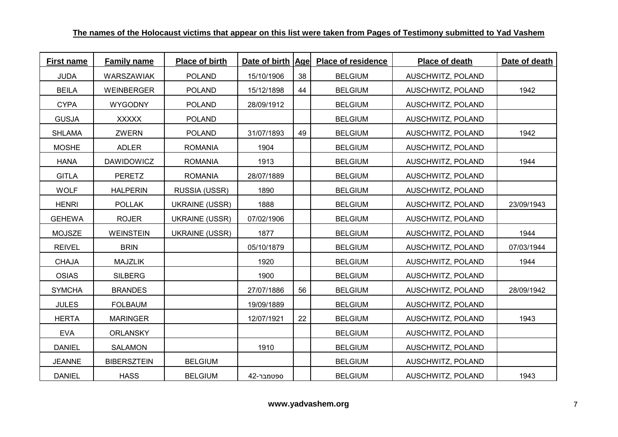| <b>First name</b> | <b>Family name</b> | Place of birth        | Date of birth Age |    | <b>Place of residence</b> | Place of death    | Date of death |
|-------------------|--------------------|-----------------------|-------------------|----|---------------------------|-------------------|---------------|
| <b>JUDA</b>       | WARSZAWIAK         | <b>POLAND</b>         | 15/10/1906        | 38 | <b>BELGIUM</b>            | AUSCHWITZ, POLAND |               |
| <b>BEILA</b>      | <b>WEINBERGER</b>  | <b>POLAND</b>         | 15/12/1898        | 44 | <b>BELGIUM</b>            | AUSCHWITZ, POLAND | 1942          |
| <b>CYPA</b>       | <b>WYGODNY</b>     | <b>POLAND</b>         | 28/09/1912        |    | <b>BELGIUM</b>            | AUSCHWITZ, POLAND |               |
| <b>GUSJA</b>      | <b>XXXXX</b>       | <b>POLAND</b>         |                   |    | <b>BELGIUM</b>            | AUSCHWITZ, POLAND |               |
| <b>SHLAMA</b>     | ZWERN              | <b>POLAND</b>         | 31/07/1893        | 49 | <b>BELGIUM</b>            | AUSCHWITZ, POLAND | 1942          |
| <b>MOSHE</b>      | <b>ADLER</b>       | <b>ROMANIA</b>        | 1904              |    | <b>BELGIUM</b>            | AUSCHWITZ, POLAND |               |
| <b>HANA</b>       | <b>DAWIDOWICZ</b>  | <b>ROMANIA</b>        | 1913              |    | <b>BELGIUM</b>            | AUSCHWITZ, POLAND | 1944          |
| <b>GITLA</b>      | <b>PERETZ</b>      | <b>ROMANIA</b>        | 28/07/1889        |    | <b>BELGIUM</b>            | AUSCHWITZ, POLAND |               |
| <b>WOLF</b>       | <b>HALPERIN</b>    | RUSSIA (USSR)         | 1890              |    | <b>BELGIUM</b>            | AUSCHWITZ, POLAND |               |
| <b>HENRI</b>      | <b>POLLAK</b>      | <b>UKRAINE (USSR)</b> | 1888              |    | <b>BELGIUM</b>            | AUSCHWITZ, POLAND | 23/09/1943    |
| <b>GEHEWA</b>     | <b>ROJER</b>       | <b>UKRAINE (USSR)</b> | 07/02/1906        |    | <b>BELGIUM</b>            | AUSCHWITZ, POLAND |               |
| <b>MOJSZE</b>     | <b>WEINSTEIN</b>   | <b>UKRAINE (USSR)</b> | 1877              |    | <b>BELGIUM</b>            | AUSCHWITZ, POLAND | 1944          |
| <b>REIVEL</b>     | <b>BRIN</b>        |                       | 05/10/1879        |    | <b>BELGIUM</b>            | AUSCHWITZ, POLAND | 07/03/1944    |
| <b>CHAJA</b>      | <b>MAJZLIK</b>     |                       | 1920              |    | <b>BELGIUM</b>            | AUSCHWITZ, POLAND | 1944          |
| <b>OSIAS</b>      | <b>SILBERG</b>     |                       | 1900              |    | <b>BELGIUM</b>            | AUSCHWITZ, POLAND |               |
| <b>SYMCHA</b>     | <b>BRANDES</b>     |                       | 27/07/1886        | 56 | <b>BELGIUM</b>            | AUSCHWITZ, POLAND | 28/09/1942    |
| <b>JULES</b>      | <b>FOLBAUM</b>     |                       | 19/09/1889        |    | <b>BELGIUM</b>            | AUSCHWITZ, POLAND |               |
| <b>HERTA</b>      | <b>MARINGER</b>    |                       | 12/07/1921        | 22 | <b>BELGIUM</b>            | AUSCHWITZ, POLAND | 1943          |
| <b>EVA</b>        | <b>ORLANSKY</b>    |                       |                   |    | <b>BELGIUM</b>            | AUSCHWITZ, POLAND |               |
| <b>DANIEL</b>     | <b>SALAMON</b>     |                       | 1910              |    | <b>BELGIUM</b>            | AUSCHWITZ, POLAND |               |
| <b>JEANNE</b>     | <b>BIBERSZTEIN</b> | <b>BELGIUM</b>        |                   |    | <b>BELGIUM</b>            | AUSCHWITZ, POLAND |               |
| <b>DANIEL</b>     | <b>HASS</b>        | <b>BELGIUM</b>        | 42-ספטמבר         |    | <b>BELGIUM</b>            | AUSCHWITZ, POLAND | 1943          |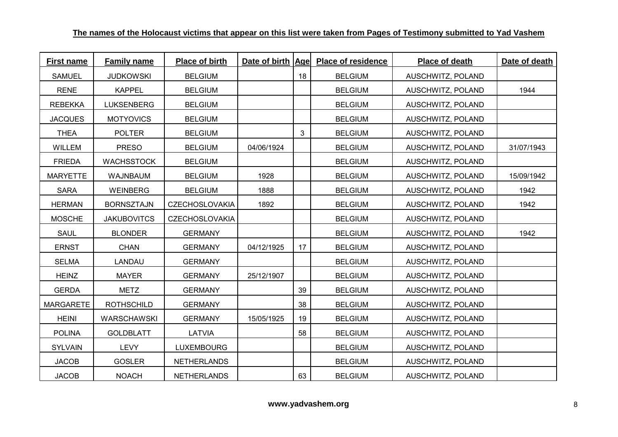| <b>First name</b> | <b>Family name</b> | Place of birth        | Date of birth Age |    | <b>Place of residence</b> | Place of death    | Date of death |
|-------------------|--------------------|-----------------------|-------------------|----|---------------------------|-------------------|---------------|
| <b>SAMUEL</b>     | <b>JUDKOWSKI</b>   | <b>BELGIUM</b>        |                   | 18 | <b>BELGIUM</b>            | AUSCHWITZ, POLAND |               |
| <b>RENE</b>       | <b>KAPPEL</b>      | <b>BELGIUM</b>        |                   |    | <b>BELGIUM</b>            | AUSCHWITZ, POLAND | 1944          |
| <b>REBEKKA</b>    | <b>LUKSENBERG</b>  | <b>BELGIUM</b>        |                   |    | <b>BELGIUM</b>            | AUSCHWITZ, POLAND |               |
| <b>JACQUES</b>    | <b>MOTYOVICS</b>   | <b>BELGIUM</b>        |                   |    | <b>BELGIUM</b>            | AUSCHWITZ, POLAND |               |
| <b>THEA</b>       | <b>POLTER</b>      | <b>BELGIUM</b>        |                   | 3  | <b>BELGIUM</b>            | AUSCHWITZ, POLAND |               |
| <b>WILLEM</b>     | <b>PRESO</b>       | <b>BELGIUM</b>        | 04/06/1924        |    | <b>BELGIUM</b>            | AUSCHWITZ, POLAND | 31/07/1943    |
| <b>FRIEDA</b>     | <b>WACHSSTOCK</b>  | <b>BELGIUM</b>        |                   |    | <b>BELGIUM</b>            | AUSCHWITZ, POLAND |               |
| <b>MARYETTE</b>   | <b>WAJNBAUM</b>    | <b>BELGIUM</b>        | 1928              |    | <b>BELGIUM</b>            | AUSCHWITZ, POLAND | 15/09/1942    |
| <b>SARA</b>       | <b>WEINBERG</b>    | <b>BELGIUM</b>        | 1888              |    | <b>BELGIUM</b>            | AUSCHWITZ, POLAND | 1942          |
| <b>HERMAN</b>     | <b>BORNSZTAJN</b>  | <b>CZECHOSLOVAKIA</b> | 1892              |    | <b>BELGIUM</b>            | AUSCHWITZ, POLAND | 1942          |
| <b>MOSCHE</b>     | <b>JAKUBOVITCS</b> | <b>CZECHOSLOVAKIA</b> |                   |    | <b>BELGIUM</b>            | AUSCHWITZ, POLAND |               |
| <b>SAUL</b>       | <b>BLONDER</b>     | <b>GERMANY</b>        |                   |    | <b>BELGIUM</b>            | AUSCHWITZ, POLAND | 1942          |
| <b>ERNST</b>      | <b>CHAN</b>        | <b>GERMANY</b>        | 04/12/1925        | 17 | <b>BELGIUM</b>            | AUSCHWITZ, POLAND |               |
| <b>SELMA</b>      | LANDAU             | <b>GERMANY</b>        |                   |    | <b>BELGIUM</b>            | AUSCHWITZ, POLAND |               |
| <b>HEINZ</b>      | <b>MAYER</b>       | <b>GERMANY</b>        | 25/12/1907        |    | <b>BELGIUM</b>            | AUSCHWITZ, POLAND |               |
| <b>GERDA</b>      | <b>METZ</b>        | <b>GERMANY</b>        |                   | 39 | <b>BELGIUM</b>            | AUSCHWITZ, POLAND |               |
| <b>MARGARETE</b>  | <b>ROTHSCHILD</b>  | <b>GERMANY</b>        |                   | 38 | <b>BELGIUM</b>            | AUSCHWITZ, POLAND |               |
| <b>HEINI</b>      | WARSCHAWSKI        | <b>GERMANY</b>        | 15/05/1925        | 19 | <b>BELGIUM</b>            | AUSCHWITZ, POLAND |               |
| <b>POLINA</b>     | <b>GOLDBLATT</b>   | LATVIA                |                   | 58 | <b>BELGIUM</b>            | AUSCHWITZ, POLAND |               |
| <b>SYLVAIN</b>    | <b>LEVY</b>        | <b>LUXEMBOURG</b>     |                   |    | <b>BELGIUM</b>            | AUSCHWITZ, POLAND |               |
| <b>JACOB</b>      | <b>GOSLER</b>      | <b>NETHERLANDS</b>    |                   |    | <b>BELGIUM</b>            | AUSCHWITZ, POLAND |               |
| <b>JACOB</b>      | <b>NOACH</b>       | <b>NETHERLANDS</b>    |                   | 63 | <b>BELGIUM</b>            | AUSCHWITZ, POLAND |               |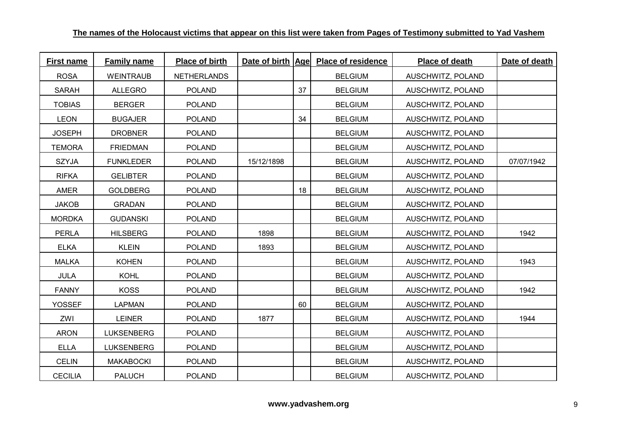| <b>First name</b> | <b>Family name</b> | Place of birth     |            |    | Date of birth Age Place of residence | Place of death    | Date of death |
|-------------------|--------------------|--------------------|------------|----|--------------------------------------|-------------------|---------------|
| <b>ROSA</b>       | <b>WEINTRAUB</b>   | <b>NETHERLANDS</b> |            |    | <b>BELGIUM</b>                       | AUSCHWITZ, POLAND |               |
| <b>SARAH</b>      | <b>ALLEGRO</b>     | <b>POLAND</b>      |            | 37 | <b>BELGIUM</b>                       | AUSCHWITZ, POLAND |               |
| <b>TOBIAS</b>     | <b>BERGER</b>      | <b>POLAND</b>      |            |    | <b>BELGIUM</b>                       | AUSCHWITZ, POLAND |               |
| <b>LEON</b>       | <b>BUGAJER</b>     | <b>POLAND</b>      |            | 34 | <b>BELGIUM</b>                       | AUSCHWITZ, POLAND |               |
| <b>JOSEPH</b>     | <b>DROBNER</b>     | <b>POLAND</b>      |            |    | <b>BELGIUM</b>                       | AUSCHWITZ, POLAND |               |
| <b>TEMORA</b>     | <b>FRIEDMAN</b>    | <b>POLAND</b>      |            |    | <b>BELGIUM</b>                       | AUSCHWITZ, POLAND |               |
| <b>SZYJA</b>      | <b>FUNKLEDER</b>   | <b>POLAND</b>      | 15/12/1898 |    | <b>BELGIUM</b>                       | AUSCHWITZ, POLAND | 07/07/1942    |
| <b>RIFKA</b>      | <b>GELIBTER</b>    | <b>POLAND</b>      |            |    | <b>BELGIUM</b>                       | AUSCHWITZ, POLAND |               |
| AMER              | <b>GOLDBERG</b>    | <b>POLAND</b>      |            | 18 | <b>BELGIUM</b>                       | AUSCHWITZ, POLAND |               |
| <b>JAKOB</b>      | <b>GRADAN</b>      | <b>POLAND</b>      |            |    | <b>BELGIUM</b>                       | AUSCHWITZ, POLAND |               |
| <b>MORDKA</b>     | <b>GUDANSKI</b>    | <b>POLAND</b>      |            |    | <b>BELGIUM</b>                       | AUSCHWITZ, POLAND |               |
| <b>PERLA</b>      | <b>HILSBERG</b>    | <b>POLAND</b>      | 1898       |    | <b>BELGIUM</b>                       | AUSCHWITZ, POLAND | 1942          |
| <b>ELKA</b>       | <b>KLEIN</b>       | <b>POLAND</b>      | 1893       |    | <b>BELGIUM</b>                       | AUSCHWITZ, POLAND |               |
| <b>MALKA</b>      | <b>KOHEN</b>       | <b>POLAND</b>      |            |    | <b>BELGIUM</b>                       | AUSCHWITZ, POLAND | 1943          |
| <b>JULA</b>       | <b>KOHL</b>        | <b>POLAND</b>      |            |    | <b>BELGIUM</b>                       | AUSCHWITZ, POLAND |               |
| <b>FANNY</b>      | <b>KOSS</b>        | <b>POLAND</b>      |            |    | <b>BELGIUM</b>                       | AUSCHWITZ, POLAND | 1942          |
| <b>YOSSEF</b>     | <b>LAPMAN</b>      | <b>POLAND</b>      |            | 60 | <b>BELGIUM</b>                       | AUSCHWITZ, POLAND |               |
| ZWI               | <b>LEINER</b>      | <b>POLAND</b>      | 1877       |    | <b>BELGIUM</b>                       | AUSCHWITZ, POLAND | 1944          |
| <b>ARON</b>       | <b>LUKSENBERG</b>  | <b>POLAND</b>      |            |    | <b>BELGIUM</b>                       | AUSCHWITZ, POLAND |               |
| <b>ELLA</b>       | <b>LUKSENBERG</b>  | <b>POLAND</b>      |            |    | <b>BELGIUM</b>                       | AUSCHWITZ, POLAND |               |
| <b>CELIN</b>      | <b>MAKABOCKI</b>   | <b>POLAND</b>      |            |    | <b>BELGIUM</b>                       | AUSCHWITZ, POLAND |               |
| <b>CECILIA</b>    | <b>PALUCH</b>      | <b>POLAND</b>      |            |    | <b>BELGIUM</b>                       | AUSCHWITZ, POLAND |               |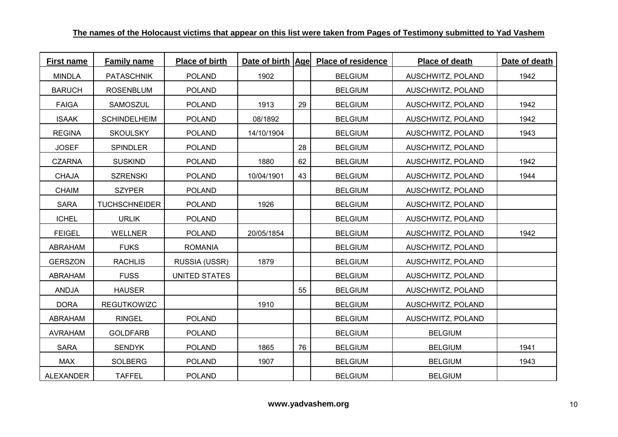| <b>First name</b> | <b>Family name</b>   | Place of birth |            |    | Date of birth Age Place of residence | Place of death    | Date of death |
|-------------------|----------------------|----------------|------------|----|--------------------------------------|-------------------|---------------|
| <b>MINDLA</b>     | <b>PATASCHNIK</b>    | <b>POLAND</b>  | 1902       |    | <b>BELGIUM</b>                       | AUSCHWITZ, POLAND | 1942          |
| <b>BARUCH</b>     | <b>ROSENBLUM</b>     | <b>POLAND</b>  |            |    | <b>BELGIUM</b>                       | AUSCHWITZ, POLAND |               |
| <b>FAIGA</b>      | SAMOSZUL             | <b>POLAND</b>  | 1913       | 29 | <b>BELGIUM</b>                       | AUSCHWITZ, POLAND | 1942          |
| <b>ISAAK</b>      | <b>SCHINDELHEIM</b>  | <b>POLAND</b>  | 08/1892    |    | <b>BELGIUM</b>                       | AUSCHWITZ, POLAND | 1942          |
| <b>REGINA</b>     | <b>SKOULSKY</b>      | <b>POLAND</b>  | 14/10/1904 |    | <b>BELGIUM</b>                       | AUSCHWITZ, POLAND | 1943          |
| <b>JOSEF</b>      | <b>SPINDLER</b>      | <b>POLAND</b>  |            | 28 | <b>BELGIUM</b>                       | AUSCHWITZ, POLAND |               |
| <b>CZARNA</b>     | <b>SUSKIND</b>       | <b>POLAND</b>  | 1880       | 62 | <b>BELGIUM</b>                       | AUSCHWITZ, POLAND | 1942          |
| <b>CHAJA</b>      | <b>SZRENSKI</b>      | <b>POLAND</b>  | 10/04/1901 | 43 | <b>BELGIUM</b>                       | AUSCHWITZ, POLAND | 1944          |
| <b>CHAIM</b>      | <b>SZYPER</b>        | <b>POLAND</b>  |            |    | <b>BELGIUM</b>                       | AUSCHWITZ, POLAND |               |
| <b>SARA</b>       | <b>TUCHSCHNEIDER</b> | <b>POLAND</b>  | 1926       |    | <b>BELGIUM</b>                       | AUSCHWITZ, POLAND |               |
| <b>ICHEL</b>      | <b>URLIK</b>         | <b>POLAND</b>  |            |    | <b>BELGIUM</b>                       | AUSCHWITZ, POLAND |               |
| <b>FEIGEL</b>     | <b>WELLNER</b>       | <b>POLAND</b>  | 20/05/1854 |    | <b>BELGIUM</b>                       | AUSCHWITZ, POLAND | 1942          |
| <b>ABRAHAM</b>    | <b>FUKS</b>          | <b>ROMANIA</b> |            |    | <b>BELGIUM</b>                       | AUSCHWITZ, POLAND |               |
| <b>GERSZON</b>    | <b>RACHLIS</b>       | RUSSIA (USSR)  | 1879       |    | <b>BELGIUM</b>                       | AUSCHWITZ, POLAND |               |
| <b>ABRAHAM</b>    | <b>FUSS</b>          | UNITED STATES  |            |    | <b>BELGIUM</b>                       | AUSCHWITZ, POLAND |               |
| ANDJA             | <b>HAUSER</b>        |                |            | 55 | <b>BELGIUM</b>                       | AUSCHWITZ, POLAND |               |
| <b>DORA</b>       | <b>REGUTKOWIZC</b>   |                | 1910       |    | <b>BELGIUM</b>                       | AUSCHWITZ, POLAND |               |
| ABRAHAM           | <b>RINGEL</b>        | <b>POLAND</b>  |            |    | <b>BELGIUM</b>                       | AUSCHWITZ, POLAND |               |
| <b>AVRAHAM</b>    | <b>GOLDFARB</b>      | <b>POLAND</b>  |            |    | <b>BELGIUM</b>                       | <b>BELGIUM</b>    |               |
| <b>SARA</b>       | <b>SENDYK</b>        | <b>POLAND</b>  | 1865       | 76 | <b>BELGIUM</b>                       | <b>BELGIUM</b>    | 1941          |
| <b>MAX</b>        | <b>SOLBERG</b>       | <b>POLAND</b>  | 1907       |    | <b>BELGIUM</b>                       | <b>BELGIUM</b>    | 1943          |
| <b>ALEXANDER</b>  | <b>TAFFEL</b>        | <b>POLAND</b>  |            |    | <b>BELGIUM</b>                       | <b>BELGIUM</b>    |               |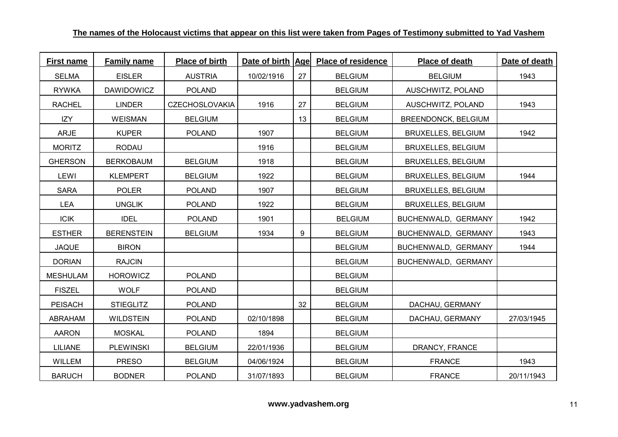| <b>First name</b> | <b>Family name</b> | Place of birth        |            |    | Date of birth Age Place of residence | Place of death             | Date of death |
|-------------------|--------------------|-----------------------|------------|----|--------------------------------------|----------------------------|---------------|
| <b>SELMA</b>      | <b>EISLER</b>      | <b>AUSTRIA</b>        | 10/02/1916 | 27 | <b>BELGIUM</b>                       | <b>BELGIUM</b>             | 1943          |
| <b>RYWKA</b>      | <b>DAWIDOWICZ</b>  | <b>POLAND</b>         |            |    | <b>BELGIUM</b>                       | AUSCHWITZ, POLAND          |               |
| <b>RACHEL</b>     | <b>LINDER</b>      | <b>CZECHOSLOVAKIA</b> | 1916       | 27 | <b>BELGIUM</b>                       | AUSCHWITZ, POLAND          | 1943          |
| IZY               | <b>WEISMAN</b>     | <b>BELGIUM</b>        |            | 13 | <b>BELGIUM</b>                       | <b>BREENDONCK, BELGIUM</b> |               |
| <b>ARJE</b>       | <b>KUPER</b>       | <b>POLAND</b>         | 1907       |    | <b>BELGIUM</b>                       | <b>BRUXELLES, BELGIUM</b>  | 1942          |
| <b>MORITZ</b>     | RODAU              |                       | 1916       |    | <b>BELGIUM</b>                       | <b>BRUXELLES, BELGIUM</b>  |               |
| <b>GHERSON</b>    | <b>BERKOBAUM</b>   | <b>BELGIUM</b>        | 1918       |    | <b>BELGIUM</b>                       | <b>BRUXELLES, BELGIUM</b>  |               |
| LEWI              | <b>KLEMPERT</b>    | <b>BELGIUM</b>        | 1922       |    | <b>BELGIUM</b>                       | <b>BRUXELLES, BELGIUM</b>  | 1944          |
| <b>SARA</b>       | <b>POLER</b>       | <b>POLAND</b>         | 1907       |    | <b>BELGIUM</b>                       | <b>BRUXELLES, BELGIUM</b>  |               |
| <b>LEA</b>        | <b>UNGLIK</b>      | <b>POLAND</b>         | 1922       |    | <b>BELGIUM</b>                       | BRUXELLES, BELGIUM         |               |
| <b>ICIK</b>       | <b>IDEL</b>        | <b>POLAND</b>         | 1901       |    | <b>BELGIUM</b>                       | BUCHENWALD, GERMANY        | 1942          |
| <b>ESTHER</b>     | <b>BERENSTEIN</b>  | <b>BELGIUM</b>        | 1934       | 9  | <b>BELGIUM</b>                       | BUCHENWALD, GERMANY        | 1943          |
| <b>JAQUE</b>      | <b>BIRON</b>       |                       |            |    | <b>BELGIUM</b>                       | BUCHENWALD, GERMANY        | 1944          |
| <b>DORIAN</b>     | <b>RAJCIN</b>      |                       |            |    | <b>BELGIUM</b>                       | BUCHENWALD, GERMANY        |               |
| <b>MESHULAM</b>   | <b>HOROWICZ</b>    | <b>POLAND</b>         |            |    | <b>BELGIUM</b>                       |                            |               |
| <b>FISZEL</b>     | <b>WOLF</b>        | <b>POLAND</b>         |            |    | <b>BELGIUM</b>                       |                            |               |
| <b>PEISACH</b>    | <b>STIEGLITZ</b>   | <b>POLAND</b>         |            | 32 | <b>BELGIUM</b>                       | DACHAU, GERMANY            |               |
| ABRAHAM           | <b>WILDSTEIN</b>   | <b>POLAND</b>         | 02/10/1898 |    | <b>BELGIUM</b>                       | DACHAU, GERMANY            | 27/03/1945    |
| <b>AARON</b>      | <b>MOSKAL</b>      | <b>POLAND</b>         | 1894       |    | <b>BELGIUM</b>                       |                            |               |
| <b>LILIANE</b>    | <b>PLEWINSKI</b>   | <b>BELGIUM</b>        | 22/01/1936 |    | <b>BELGIUM</b>                       | DRANCY, FRANCE             |               |
| <b>WILLEM</b>     | <b>PRESO</b>       | <b>BELGIUM</b>        | 04/06/1924 |    | <b>BELGIUM</b>                       | <b>FRANCE</b>              | 1943          |
| <b>BARUCH</b>     | <b>BODNER</b>      | <b>POLAND</b>         | 31/07/1893 |    | <b>BELGIUM</b>                       | <b>FRANCE</b>              | 20/11/1943    |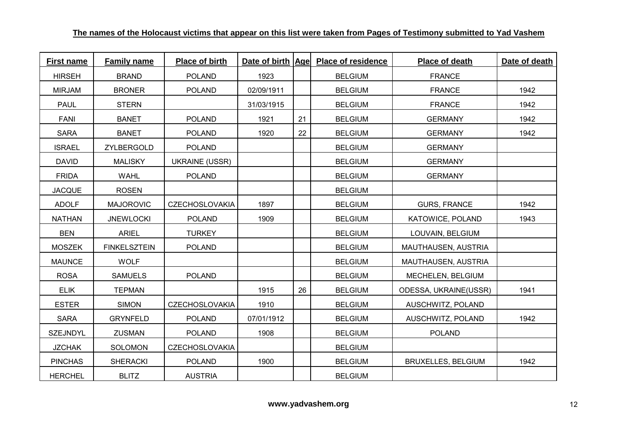| <b>First name</b> | <b>Family name</b>  | Place of birth        |            |    | Date of birth Age Place of residence | Place of death            | Date of death |
|-------------------|---------------------|-----------------------|------------|----|--------------------------------------|---------------------------|---------------|
| <b>HIRSEH</b>     | <b>BRAND</b>        | <b>POLAND</b>         | 1923       |    | <b>BELGIUM</b>                       | <b>FRANCE</b>             |               |
| <b>MIRJAM</b>     | <b>BRONER</b>       | <b>POLAND</b>         | 02/09/1911 |    | <b>BELGIUM</b>                       | <b>FRANCE</b>             | 1942          |
| <b>PAUL</b>       | <b>STERN</b>        |                       | 31/03/1915 |    | <b>BELGIUM</b>                       | <b>FRANCE</b>             | 1942          |
| <b>FANI</b>       | <b>BANET</b>        | <b>POLAND</b>         | 1921       | 21 | <b>BELGIUM</b>                       | <b>GERMANY</b>            | 1942          |
| <b>SARA</b>       | <b>BANET</b>        | <b>POLAND</b>         | 1920       | 22 | <b>BELGIUM</b>                       | <b>GERMANY</b>            | 1942          |
| <b>ISRAEL</b>     | ZYLBERGOLD          | <b>POLAND</b>         |            |    | <b>BELGIUM</b>                       | <b>GERMANY</b>            |               |
| <b>DAVID</b>      | <b>MALISKY</b>      | <b>UKRAINE (USSR)</b> |            |    | <b>BELGIUM</b>                       | <b>GERMANY</b>            |               |
| <b>FRIDA</b>      | <b>WAHL</b>         | <b>POLAND</b>         |            |    | <b>BELGIUM</b>                       | <b>GERMANY</b>            |               |
| <b>JACQUE</b>     | <b>ROSEN</b>        |                       |            |    | <b>BELGIUM</b>                       |                           |               |
| <b>ADOLF</b>      | <b>MAJOROVIC</b>    | <b>CZECHOSLOVAKIA</b> | 1897       |    | <b>BELGIUM</b>                       | <b>GURS, FRANCE</b>       | 1942          |
| <b>NATHAN</b>     | <b>JNEWLOCKI</b>    | <b>POLAND</b>         | 1909       |    | <b>BELGIUM</b>                       | KATOWICE, POLAND          | 1943          |
| <b>BEN</b>        | <b>ARIEL</b>        | <b>TURKEY</b>         |            |    | <b>BELGIUM</b>                       | LOUVAIN, BELGIUM          |               |
| <b>MOSZEK</b>     | <b>FINKELSZTEIN</b> | <b>POLAND</b>         |            |    | <b>BELGIUM</b>                       | MAUTHAUSEN, AUSTRIA       |               |
| <b>MAUNCE</b>     | <b>WOLF</b>         |                       |            |    | <b>BELGIUM</b>                       | MAUTHAUSEN, AUSTRIA       |               |
| <b>ROSA</b>       | <b>SAMUELS</b>      | <b>POLAND</b>         |            |    | <b>BELGIUM</b>                       | MECHELEN, BELGIUM         |               |
| <b>ELIK</b>       | <b>TEPMAN</b>       |                       | 1915       | 26 | <b>BELGIUM</b>                       | ODESSA, UKRAINE(USSR)     | 1941          |
| <b>ESTER</b>      | <b>SIMON</b>        | <b>CZECHOSLOVAKIA</b> | 1910       |    | <b>BELGIUM</b>                       | AUSCHWITZ, POLAND         |               |
| <b>SARA</b>       | <b>GRYNFELD</b>     | <b>POLAND</b>         | 07/01/1912 |    | <b>BELGIUM</b>                       | AUSCHWITZ, POLAND         | 1942          |
| <b>SZEJNDYL</b>   | <b>ZUSMAN</b>       | <b>POLAND</b>         | 1908       |    | <b>BELGIUM</b>                       | <b>POLAND</b>             |               |
| <b>JZCHAK</b>     | <b>SOLOMON</b>      | <b>CZECHOSLOVAKIA</b> |            |    | <b>BELGIUM</b>                       |                           |               |
| <b>PINCHAS</b>    | <b>SHERACKI</b>     | <b>POLAND</b>         | 1900       |    | <b>BELGIUM</b>                       | <b>BRUXELLES, BELGIUM</b> | 1942          |
| <b>HERCHEL</b>    | <b>BLITZ</b>        | <b>AUSTRIA</b>        |            |    | <b>BELGIUM</b>                       |                           |               |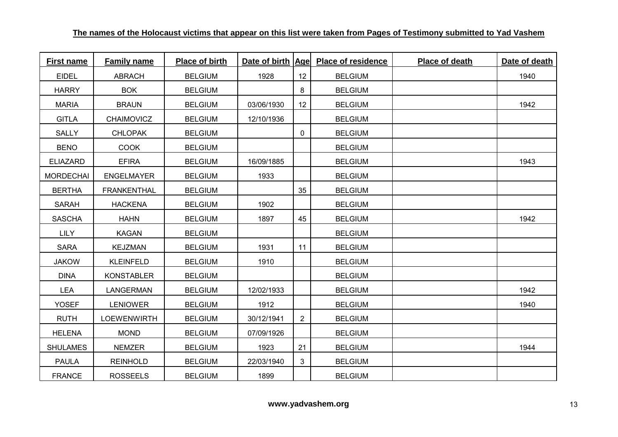| <b>First name</b> | <b>Family name</b> | Place of birth | Date of birth   Age |                | <b>Place of residence</b> | Place of death | Date of death |
|-------------------|--------------------|----------------|---------------------|----------------|---------------------------|----------------|---------------|
| <b>EIDEL</b>      | <b>ABRACH</b>      | <b>BELGIUM</b> | 1928                | 12             | <b>BELGIUM</b>            |                | 1940          |
| <b>HARRY</b>      | <b>BOK</b>         | <b>BELGIUM</b> |                     | 8              | <b>BELGIUM</b>            |                |               |
| <b>MARIA</b>      | <b>BRAUN</b>       | <b>BELGIUM</b> | 03/06/1930          | 12             | <b>BELGIUM</b>            |                | 1942          |
| <b>GITLA</b>      | CHAIMOVICZ         | <b>BELGIUM</b> | 12/10/1936          |                | <b>BELGIUM</b>            |                |               |
| <b>SALLY</b>      | <b>CHLOPAK</b>     | <b>BELGIUM</b> |                     | 0              | <b>BELGIUM</b>            |                |               |
| <b>BENO</b>       | <b>COOK</b>        | <b>BELGIUM</b> |                     |                | <b>BELGIUM</b>            |                |               |
| <b>ELIAZARD</b>   | <b>EFIRA</b>       | <b>BELGIUM</b> | 16/09/1885          |                | <b>BELGIUM</b>            |                | 1943          |
| <b>MORDECHAI</b>  | <b>ENGELMAYER</b>  | <b>BELGIUM</b> | 1933                |                | <b>BELGIUM</b>            |                |               |
| <b>BERTHA</b>     | <b>FRANKENTHAL</b> | <b>BELGIUM</b> |                     | 35             | <b>BELGIUM</b>            |                |               |
| <b>SARAH</b>      | <b>HACKENA</b>     | <b>BELGIUM</b> | 1902                |                | <b>BELGIUM</b>            |                |               |
| <b>SASCHA</b>     | <b>HAHN</b>        | <b>BELGIUM</b> | 1897                | 45             | <b>BELGIUM</b>            |                | 1942          |
| <b>LILY</b>       | <b>KAGAN</b>       | <b>BELGIUM</b> |                     |                | <b>BELGIUM</b>            |                |               |
| <b>SARA</b>       | <b>KEJZMAN</b>     | <b>BELGIUM</b> | 1931                | 11             | <b>BELGIUM</b>            |                |               |
| <b>JAKOW</b>      | <b>KLEINFELD</b>   | <b>BELGIUM</b> | 1910                |                | <b>BELGIUM</b>            |                |               |
| <b>DINA</b>       | <b>KONSTABLER</b>  | <b>BELGIUM</b> |                     |                | <b>BELGIUM</b>            |                |               |
| <b>LEA</b>        | LANGERMAN          | <b>BELGIUM</b> | 12/02/1933          |                | <b>BELGIUM</b>            |                | 1942          |
| <b>YOSEF</b>      | <b>LENIOWER</b>    | <b>BELGIUM</b> | 1912                |                | <b>BELGIUM</b>            |                | 1940          |
| <b>RUTH</b>       | <b>LOEWENWIRTH</b> | <b>BELGIUM</b> | 30/12/1941          | $\overline{2}$ | <b>BELGIUM</b>            |                |               |
| <b>HELENA</b>     | <b>MOND</b>        | <b>BELGIUM</b> | 07/09/1926          |                | <b>BELGIUM</b>            |                |               |
| <b>SHULAMES</b>   | <b>NEMZER</b>      | <b>BELGIUM</b> | 1923                | 21             | <b>BELGIUM</b>            |                | 1944          |
| <b>PAULA</b>      | <b>REINHOLD</b>    | <b>BELGIUM</b> | 22/03/1940          | 3              | <b>BELGIUM</b>            |                |               |
| <b>FRANCE</b>     | <b>ROSSEELS</b>    | <b>BELGIUM</b> | 1899                |                | <b>BELGIUM</b>            |                |               |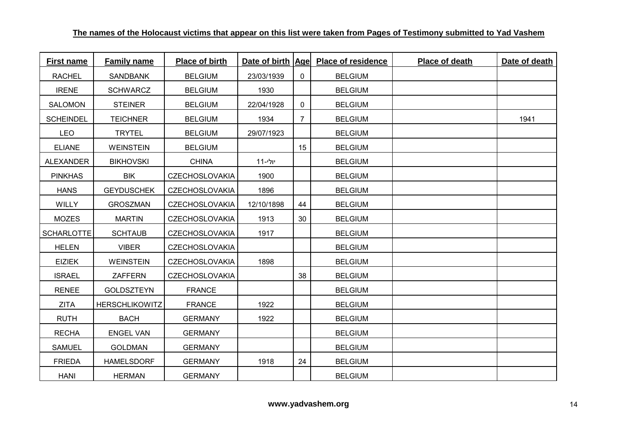| <b>First name</b> | <b>Family name</b>    | Place of birth        | Date of birth   Age |                | <b>Place of residence</b> | Place of death | Date of death |
|-------------------|-----------------------|-----------------------|---------------------|----------------|---------------------------|----------------|---------------|
| <b>RACHEL</b>     | <b>SANDBANK</b>       | <b>BELGIUM</b>        | 23/03/1939          | 0              | <b>BELGIUM</b>            |                |               |
| <b>IRENE</b>      | <b>SCHWARCZ</b>       | <b>BELGIUM</b>        | 1930                |                | <b>BELGIUM</b>            |                |               |
| SALOMON           | <b>STEINER</b>        | <b>BELGIUM</b>        | 22/04/1928          | 0              | <b>BELGIUM</b>            |                |               |
| <b>SCHEINDEL</b>  | <b>TEICHNER</b>       | <b>BELGIUM</b>        | 1934                | $\overline{7}$ | <b>BELGIUM</b>            |                | 1941          |
| <b>LEO</b>        | <b>TRYTEL</b>         | <b>BELGIUM</b>        | 29/07/1923          |                | <b>BELGIUM</b>            |                |               |
| <b>ELIANE</b>     | <b>WEINSTEIN</b>      | <b>BELGIUM</b>        |                     | 15             | <b>BELGIUM</b>            |                |               |
| ALEXANDER         | <b>BIKHOVSKI</b>      | <b>CHINA</b>          | יולי-11             |                | <b>BELGIUM</b>            |                |               |
| <b>PINKHAS</b>    | BIK                   | <b>CZECHOSLOVAKIA</b> | 1900                |                | <b>BELGIUM</b>            |                |               |
| <b>HANS</b>       | <b>GEYDUSCHEK</b>     | <b>CZECHOSLOVAKIA</b> | 1896                |                | <b>BELGIUM</b>            |                |               |
| WILLY             | <b>GROSZMAN</b>       | <b>CZECHOSLOVAKIA</b> | 12/10/1898          | 44             | <b>BELGIUM</b>            |                |               |
| <b>MOZES</b>      | <b>MARTIN</b>         | <b>CZECHOSLOVAKIA</b> | 1913                | 30             | <b>BELGIUM</b>            |                |               |
| <b>SCHARLOTTE</b> | <b>SCHTAUB</b>        | <b>CZECHOSLOVAKIA</b> | 1917                |                | <b>BELGIUM</b>            |                |               |
| <b>HELEN</b>      | <b>VIBER</b>          | <b>CZECHOSLOVAKIA</b> |                     |                | <b>BELGIUM</b>            |                |               |
| <b>EIZIEK</b>     | <b>WEINSTEIN</b>      | <b>CZECHOSLOVAKIA</b> | 1898                |                | <b>BELGIUM</b>            |                |               |
| <b>ISRAEL</b>     | <b>ZAFFERN</b>        | <b>CZECHOSLOVAKIA</b> |                     | 38             | <b>BELGIUM</b>            |                |               |
| <b>RENEE</b>      | <b>GOLDSZTEYN</b>     | <b>FRANCE</b>         |                     |                | <b>BELGIUM</b>            |                |               |
| <b>ZITA</b>       | <b>HERSCHLIKOWITZ</b> | <b>FRANCE</b>         | 1922                |                | <b>BELGIUM</b>            |                |               |
| <b>RUTH</b>       | <b>BACH</b>           | <b>GERMANY</b>        | 1922                |                | <b>BELGIUM</b>            |                |               |
| <b>RECHA</b>      | <b>ENGEL VAN</b>      | <b>GERMANY</b>        |                     |                | <b>BELGIUM</b>            |                |               |
| <b>SAMUEL</b>     | <b>GOLDMAN</b>        | <b>GERMANY</b>        |                     |                | <b>BELGIUM</b>            |                |               |
| <b>FRIEDA</b>     | <b>HAMELSDORF</b>     | <b>GERMANY</b>        | 1918                | 24             | <b>BELGIUM</b>            |                |               |
| <b>HANI</b>       | <b>HERMAN</b>         | <b>GERMANY</b>        |                     |                | <b>BELGIUM</b>            |                |               |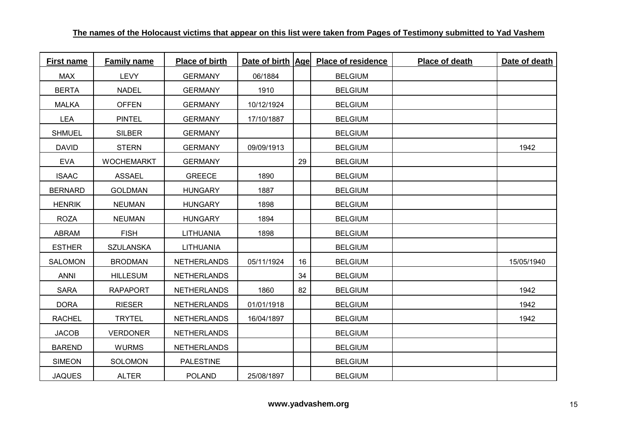| <b>First name</b> | <b>Family name</b> | Place of birth     | Date of birth   Age |    | <b>Place of residence</b> | Place of death | Date of death |
|-------------------|--------------------|--------------------|---------------------|----|---------------------------|----------------|---------------|
| <b>MAX</b>        | <b>LEVY</b>        | <b>GERMANY</b>     | 06/1884             |    | <b>BELGIUM</b>            |                |               |
| <b>BERTA</b>      | <b>NADEL</b>       | <b>GERMANY</b>     | 1910                |    | <b>BELGIUM</b>            |                |               |
| <b>MALKA</b>      | <b>OFFEN</b>       | <b>GERMANY</b>     | 10/12/1924          |    | <b>BELGIUM</b>            |                |               |
| <b>LEA</b>        | <b>PINTEL</b>      | <b>GERMANY</b>     | 17/10/1887          |    | <b>BELGIUM</b>            |                |               |
| <b>SHMUEL</b>     | <b>SILBER</b>      | <b>GERMANY</b>     |                     |    | <b>BELGIUM</b>            |                |               |
| <b>DAVID</b>      | <b>STERN</b>       | <b>GERMANY</b>     | 09/09/1913          |    | <b>BELGIUM</b>            |                | 1942          |
| <b>EVA</b>        | <b>WOCHEMARKT</b>  | <b>GERMANY</b>     |                     | 29 | <b>BELGIUM</b>            |                |               |
| <b>ISAAC</b>      | <b>ASSAEL</b>      | <b>GREECE</b>      | 1890                |    | <b>BELGIUM</b>            |                |               |
| <b>BERNARD</b>    | <b>GOLDMAN</b>     | <b>HUNGARY</b>     | 1887                |    | <b>BELGIUM</b>            |                |               |
| <b>HENRIK</b>     | <b>NEUMAN</b>      | <b>HUNGARY</b>     | 1898                |    | <b>BELGIUM</b>            |                |               |
| <b>ROZA</b>       | <b>NEUMAN</b>      | <b>HUNGARY</b>     | 1894                |    | <b>BELGIUM</b>            |                |               |
| ABRAM             | <b>FISH</b>        | <b>LITHUANIA</b>   | 1898                |    | <b>BELGIUM</b>            |                |               |
| <b>ESTHER</b>     | <b>SZULANSKA</b>   | <b>LITHUANIA</b>   |                     |    | <b>BELGIUM</b>            |                |               |
| SALOMON           | <b>BRODMAN</b>     | <b>NETHERLANDS</b> | 05/11/1924          | 16 | <b>BELGIUM</b>            |                | 15/05/1940    |
| <b>ANNI</b>       | <b>HILLESUM</b>    | <b>NETHERLANDS</b> |                     | 34 | <b>BELGIUM</b>            |                |               |
| <b>SARA</b>       | <b>RAPAPORT</b>    | <b>NETHERLANDS</b> | 1860                | 82 | <b>BELGIUM</b>            |                | 1942          |
| <b>DORA</b>       | <b>RIESER</b>      | <b>NETHERLANDS</b> | 01/01/1918          |    | <b>BELGIUM</b>            |                | 1942          |
| <b>RACHEL</b>     | <b>TRYTEL</b>      | <b>NETHERLANDS</b> | 16/04/1897          |    | <b>BELGIUM</b>            |                | 1942          |
| <b>JACOB</b>      | <b>VERDONER</b>    | <b>NETHERLANDS</b> |                     |    | <b>BELGIUM</b>            |                |               |
| <b>BAREND</b>     | <b>WURMS</b>       | <b>NETHERLANDS</b> |                     |    | <b>BELGIUM</b>            |                |               |
| <b>SIMEON</b>     | <b>SOLOMON</b>     | <b>PALESTINE</b>   |                     |    | <b>BELGIUM</b>            |                |               |
| <b>JAQUES</b>     | <b>ALTER</b>       | <b>POLAND</b>      | 25/08/1897          |    | <b>BELGIUM</b>            |                |               |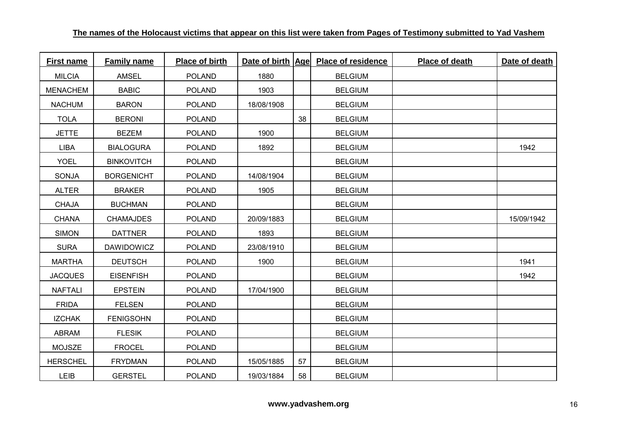| <b>First name</b> | <b>Family name</b> | Place of birth | Date of birth Age |    | <b>Place of residence</b> | Place of death | Date of death |
|-------------------|--------------------|----------------|-------------------|----|---------------------------|----------------|---------------|
| <b>MILCIA</b>     | <b>AMSEL</b>       | <b>POLAND</b>  | 1880              |    | <b>BELGIUM</b>            |                |               |
| <b>MENACHEM</b>   | <b>BABIC</b>       | <b>POLAND</b>  | 1903              |    | <b>BELGIUM</b>            |                |               |
| <b>NACHUM</b>     | <b>BARON</b>       | <b>POLAND</b>  | 18/08/1908        |    | <b>BELGIUM</b>            |                |               |
| <b>TOLA</b>       | <b>BERONI</b>      | <b>POLAND</b>  |                   | 38 | <b>BELGIUM</b>            |                |               |
| <b>JETTE</b>      | <b>BEZEM</b>       | POLAND         | 1900              |    | <b>BELGIUM</b>            |                |               |
| LIBA              | <b>BIALOGURA</b>   | <b>POLAND</b>  | 1892              |    | <b>BELGIUM</b>            |                | 1942          |
| <b>YOEL</b>       | <b>BINKOVITCH</b>  | <b>POLAND</b>  |                   |    | <b>BELGIUM</b>            |                |               |
| SONJA             | <b>BORGENICHT</b>  | <b>POLAND</b>  | 14/08/1904        |    | <b>BELGIUM</b>            |                |               |
| <b>ALTER</b>      | <b>BRAKER</b>      | <b>POLAND</b>  | 1905              |    | <b>BELGIUM</b>            |                |               |
| <b>CHAJA</b>      | <b>BUCHMAN</b>     | <b>POLAND</b>  |                   |    | <b>BELGIUM</b>            |                |               |
| <b>CHANA</b>      | <b>CHAMAJDES</b>   | <b>POLAND</b>  | 20/09/1883        |    | <b>BELGIUM</b>            |                | 15/09/1942    |
| <b>SIMON</b>      | <b>DATTNER</b>     | <b>POLAND</b>  | 1893              |    | <b>BELGIUM</b>            |                |               |
| <b>SURA</b>       | <b>DAWIDOWICZ</b>  | <b>POLAND</b>  | 23/08/1910        |    | <b>BELGIUM</b>            |                |               |
| <b>MARTHA</b>     | <b>DEUTSCH</b>     | <b>POLAND</b>  | 1900              |    | <b>BELGIUM</b>            |                | 1941          |
| <b>JACQUES</b>    | <b>EISENFISH</b>   | <b>POLAND</b>  |                   |    | <b>BELGIUM</b>            |                | 1942          |
| <b>NAFTALI</b>    | <b>EPSTEIN</b>     | <b>POLAND</b>  | 17/04/1900        |    | <b>BELGIUM</b>            |                |               |
| <b>FRIDA</b>      | <b>FELSEN</b>      | <b>POLAND</b>  |                   |    | <b>BELGIUM</b>            |                |               |
| <b>IZCHAK</b>     | <b>FENIGSOHN</b>   | <b>POLAND</b>  |                   |    | <b>BELGIUM</b>            |                |               |
| ABRAM             | <b>FLESIK</b>      | <b>POLAND</b>  |                   |    | <b>BELGIUM</b>            |                |               |
| <b>MOJSZE</b>     | <b>FROCEL</b>      | <b>POLAND</b>  |                   |    | <b>BELGIUM</b>            |                |               |
| <b>HERSCHEL</b>   | <b>FRYDMAN</b>     | <b>POLAND</b>  | 15/05/1885        | 57 | <b>BELGIUM</b>            |                |               |
| LEIB              | <b>GERSTEL</b>     | <b>POLAND</b>  | 19/03/1884        | 58 | <b>BELGIUM</b>            |                |               |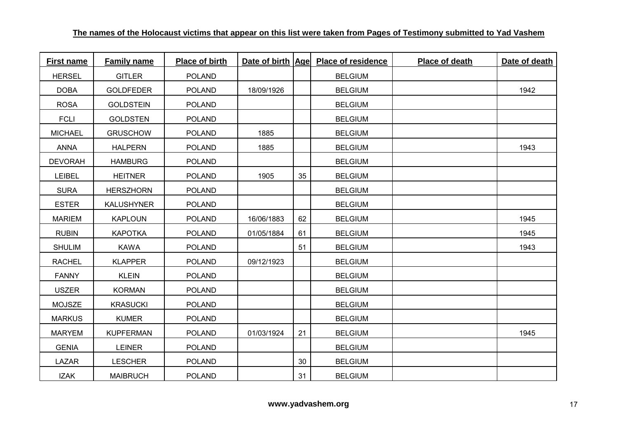| First name     | <b>Family name</b> | Place of birth |            |    | Date of birth Age Place of residence | Place of death | Date of death |
|----------------|--------------------|----------------|------------|----|--------------------------------------|----------------|---------------|
| <b>HERSEL</b>  | <b>GITLER</b>      | <b>POLAND</b>  |            |    | <b>BELGIUM</b>                       |                |               |
| <b>DOBA</b>    | <b>GOLDFEDER</b>   | <b>POLAND</b>  | 18/09/1926 |    | <b>BELGIUM</b>                       |                | 1942          |
| <b>ROSA</b>    | <b>GOLDSTEIN</b>   | <b>POLAND</b>  |            |    | <b>BELGIUM</b>                       |                |               |
| <b>FCLI</b>    | <b>GOLDSTEN</b>    | <b>POLAND</b>  |            |    | <b>BELGIUM</b>                       |                |               |
| <b>MICHAEL</b> | <b>GRUSCHOW</b>    | <b>POLAND</b>  | 1885       |    | <b>BELGIUM</b>                       |                |               |
| <b>ANNA</b>    | <b>HALPERN</b>     | <b>POLAND</b>  | 1885       |    | <b>BELGIUM</b>                       |                | 1943          |
| <b>DEVORAH</b> | <b>HAMBURG</b>     | <b>POLAND</b>  |            |    | <b>BELGIUM</b>                       |                |               |
| LEIBEL         | <b>HEITNER</b>     | <b>POLAND</b>  | 1905       | 35 | <b>BELGIUM</b>                       |                |               |
| <b>SURA</b>    | <b>HERSZHORN</b>   | <b>POLAND</b>  |            |    | <b>BELGIUM</b>                       |                |               |
| <b>ESTER</b>   | <b>KALUSHYNER</b>  | <b>POLAND</b>  |            |    | <b>BELGIUM</b>                       |                |               |
| <b>MARIEM</b>  | <b>KAPLOUN</b>     | <b>POLAND</b>  | 16/06/1883 | 62 | <b>BELGIUM</b>                       |                | 1945          |
| <b>RUBIN</b>   | <b>KAPOTKA</b>     | <b>POLAND</b>  | 01/05/1884 | 61 | <b>BELGIUM</b>                       |                | 1945          |
| <b>SHULIM</b>  | <b>KAWA</b>        | <b>POLAND</b>  |            | 51 | <b>BELGIUM</b>                       |                | 1943          |
| <b>RACHEL</b>  | <b>KLAPPER</b>     | <b>POLAND</b>  | 09/12/1923 |    | <b>BELGIUM</b>                       |                |               |
| <b>FANNY</b>   | <b>KLEIN</b>       | <b>POLAND</b>  |            |    | <b>BELGIUM</b>                       |                |               |
| <b>USZER</b>   | <b>KORMAN</b>      | <b>POLAND</b>  |            |    | <b>BELGIUM</b>                       |                |               |
| <b>MOJSZE</b>  | <b>KRASUCKI</b>    | <b>POLAND</b>  |            |    | <b>BELGIUM</b>                       |                |               |
| <b>MARKUS</b>  | <b>KUMER</b>       | <b>POLAND</b>  |            |    | <b>BELGIUM</b>                       |                |               |
| <b>MARYEM</b>  | <b>KUPFERMAN</b>   | <b>POLAND</b>  | 01/03/1924 | 21 | <b>BELGIUM</b>                       |                | 1945          |
| <b>GENIA</b>   | <b>LEINER</b>      | <b>POLAND</b>  |            |    | <b>BELGIUM</b>                       |                |               |
| LAZAR          | <b>LESCHER</b>     | <b>POLAND</b>  |            | 30 | <b>BELGIUM</b>                       |                |               |
| <b>IZAK</b>    | <b>MAIBRUCH</b>    | <b>POLAND</b>  |            | 31 | <b>BELGIUM</b>                       |                |               |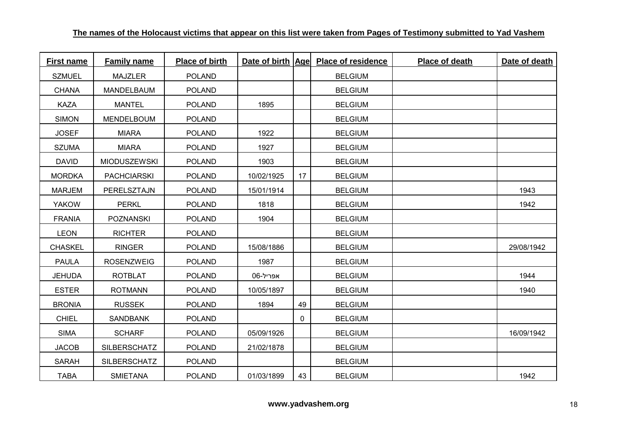| <b>First name</b> | <b>Family name</b>  | Place of birth |            |    | Date of birth   Age  Place of residence | Place of death | Date of death |
|-------------------|---------------------|----------------|------------|----|-----------------------------------------|----------------|---------------|
| <b>SZMUEL</b>     | <b>MAJZLER</b>      | <b>POLAND</b>  |            |    | <b>BELGIUM</b>                          |                |               |
| <b>CHANA</b>      | MANDELBAUM          | <b>POLAND</b>  |            |    | <b>BELGIUM</b>                          |                |               |
| <b>KAZA</b>       | <b>MANTEL</b>       | <b>POLAND</b>  | 1895       |    | <b>BELGIUM</b>                          |                |               |
| <b>SIMON</b>      | MENDELBOUM          | <b>POLAND</b>  |            |    | <b>BELGIUM</b>                          |                |               |
| <b>JOSEF</b>      | <b>MIARA</b>        | <b>POLAND</b>  | 1922       |    | <b>BELGIUM</b>                          |                |               |
| <b>SZUMA</b>      | <b>MIARA</b>        | <b>POLAND</b>  | 1927       |    | <b>BELGIUM</b>                          |                |               |
| <b>DAVID</b>      | <b>MIODUSZEWSKI</b> | <b>POLAND</b>  | 1903       |    | <b>BELGIUM</b>                          |                |               |
| <b>MORDKA</b>     | <b>PACHCIARSKI</b>  | <b>POLAND</b>  | 10/02/1925 | 17 | <b>BELGIUM</b>                          |                |               |
| <b>MARJEM</b>     | PERELSZTAJN         | <b>POLAND</b>  | 15/01/1914 |    | <b>BELGIUM</b>                          |                | 1943          |
| <b>YAKOW</b>      | <b>PERKL</b>        | <b>POLAND</b>  | 1818       |    | <b>BELGIUM</b>                          |                | 1942          |
| <b>FRANIA</b>     | <b>POZNANSKI</b>    | <b>POLAND</b>  | 1904       |    | <b>BELGIUM</b>                          |                |               |
| <b>LEON</b>       | <b>RICHTER</b>      | <b>POLAND</b>  |            |    | <b>BELGIUM</b>                          |                |               |
| <b>CHASKEL</b>    | <b>RINGER</b>       | <b>POLAND</b>  | 15/08/1886 |    | <b>BELGIUM</b>                          |                | 29/08/1942    |
| <b>PAULA</b>      | <b>ROSENZWEIG</b>   | <b>POLAND</b>  | 1987       |    | <b>BELGIUM</b>                          |                |               |
| <b>JEHUDA</b>     | <b>ROTBLAT</b>      | <b>POLAND</b>  | 06-אפריל   |    | <b>BELGIUM</b>                          |                | 1944          |
| <b>ESTER</b>      | <b>ROTMANN</b>      | <b>POLAND</b>  | 10/05/1897 |    | <b>BELGIUM</b>                          |                | 1940          |
| <b>BRONIA</b>     | <b>RUSSEK</b>       | <b>POLAND</b>  | 1894       | 49 | <b>BELGIUM</b>                          |                |               |
| <b>CHIEL</b>      | <b>SANDBANK</b>     | <b>POLAND</b>  |            | 0  | <b>BELGIUM</b>                          |                |               |
| <b>SIMA</b>       | <b>SCHARF</b>       | <b>POLAND</b>  | 05/09/1926 |    | <b>BELGIUM</b>                          |                | 16/09/1942    |
| <b>JACOB</b>      | <b>SILBERSCHATZ</b> | <b>POLAND</b>  | 21/02/1878 |    | <b>BELGIUM</b>                          |                |               |
| <b>SARAH</b>      | <b>SILBERSCHATZ</b> | <b>POLAND</b>  |            |    | <b>BELGIUM</b>                          |                |               |
| <b>TABA</b>       | <b>SMIETANA</b>     | <b>POLAND</b>  | 01/03/1899 | 43 | <b>BELGIUM</b>                          |                | 1942          |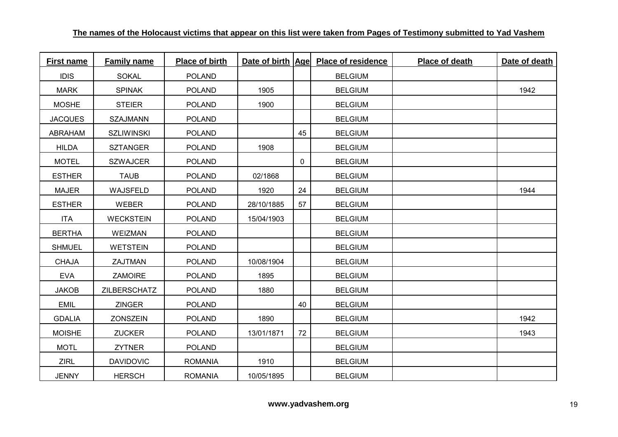| First name     | <b>Family name</b> | Place of birth |            |    | Date of birth Age Place of residence | Place of death | Date of death |
|----------------|--------------------|----------------|------------|----|--------------------------------------|----------------|---------------|
| <b>IDIS</b>    | <b>SOKAL</b>       | <b>POLAND</b>  |            |    | <b>BELGIUM</b>                       |                |               |
| <b>MARK</b>    | <b>SPINAK</b>      | <b>POLAND</b>  | 1905       |    | <b>BELGIUM</b>                       |                | 1942          |
| <b>MOSHE</b>   | <b>STEIER</b>      | <b>POLAND</b>  | 1900       |    | <b>BELGIUM</b>                       |                |               |
| <b>JACQUES</b> | <b>SZAJMANN</b>    | <b>POLAND</b>  |            |    | <b>BELGIUM</b>                       |                |               |
| ABRAHAM        | <b>SZLIWINSKI</b>  | <b>POLAND</b>  |            | 45 | <b>BELGIUM</b>                       |                |               |
| <b>HILDA</b>   | <b>SZTANGER</b>    | <b>POLAND</b>  | 1908       |    | <b>BELGIUM</b>                       |                |               |
| <b>MOTEL</b>   | <b>SZWAJCER</b>    | <b>POLAND</b>  |            | 0  | <b>BELGIUM</b>                       |                |               |
| <b>ESTHER</b>  | <b>TAUB</b>        | <b>POLAND</b>  | 02/1868    |    | <b>BELGIUM</b>                       |                |               |
| <b>MAJER</b>   | WAJSFELD           | <b>POLAND</b>  | 1920       | 24 | <b>BELGIUM</b>                       |                | 1944          |
| <b>ESTHER</b>  | <b>WEBER</b>       | <b>POLAND</b>  | 28/10/1885 | 57 | <b>BELGIUM</b>                       |                |               |
| <b>ITA</b>     | <b>WECKSTEIN</b>   | <b>POLAND</b>  | 15/04/1903 |    | <b>BELGIUM</b>                       |                |               |
| <b>BERTHA</b>  | <b>WEIZMAN</b>     | <b>POLAND</b>  |            |    | <b>BELGIUM</b>                       |                |               |
| <b>SHMUEL</b>  | <b>WETSTEIN</b>    | <b>POLAND</b>  |            |    | <b>BELGIUM</b>                       |                |               |
| <b>CHAJA</b>   | ZAJTMAN            | <b>POLAND</b>  | 10/08/1904 |    | <b>BELGIUM</b>                       |                |               |
| <b>EVA</b>     | <b>ZAMOIRE</b>     | <b>POLAND</b>  | 1895       |    | <b>BELGIUM</b>                       |                |               |
| <b>JAKOB</b>   | ZILBERSCHATZ       | <b>POLAND</b>  | 1880       |    | <b>BELGIUM</b>                       |                |               |
| <b>EMIL</b>    | <b>ZINGER</b>      | <b>POLAND</b>  |            | 40 | <b>BELGIUM</b>                       |                |               |
| <b>GDALIA</b>  | <b>ZONSZEIN</b>    | <b>POLAND</b>  | 1890       |    | <b>BELGIUM</b>                       |                | 1942          |
| <b>MOISHE</b>  | <b>ZUCKER</b>      | <b>POLAND</b>  | 13/01/1871 | 72 | <b>BELGIUM</b>                       |                | 1943          |
| <b>MOTL</b>    | <b>ZYTNER</b>      | <b>POLAND</b>  |            |    | <b>BELGIUM</b>                       |                |               |
| <b>ZIRL</b>    | <b>DAVIDOVIC</b>   | <b>ROMANIA</b> | 1910       |    | <b>BELGIUM</b>                       |                |               |
| <b>JENNY</b>   | <b>HERSCH</b>      | <b>ROMANIA</b> | 10/05/1895 |    | <b>BELGIUM</b>                       |                |               |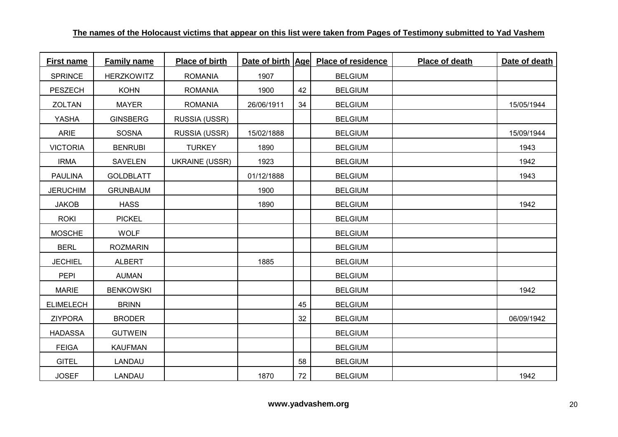| <b>First name</b> | <b>Family name</b> | Place of birth        | Date of birth   Age |    | <b>Place of residence</b> | Place of death | Date of death |
|-------------------|--------------------|-----------------------|---------------------|----|---------------------------|----------------|---------------|
| <b>SPRINCE</b>    | <b>HERZKOWITZ</b>  | <b>ROMANIA</b>        | 1907                |    | <b>BELGIUM</b>            |                |               |
| <b>PESZECH</b>    | <b>KOHN</b>        | <b>ROMANIA</b>        | 1900                | 42 | <b>BELGIUM</b>            |                |               |
| ZOLTAN            | <b>MAYER</b>       | <b>ROMANIA</b>        | 26/06/1911          | 34 | <b>BELGIUM</b>            |                | 15/05/1944    |
| YASHA             | <b>GINSBERG</b>    | RUSSIA (USSR)         |                     |    | <b>BELGIUM</b>            |                |               |
| <b>ARIE</b>       | <b>SOSNA</b>       | RUSSIA (USSR)         | 15/02/1888          |    | <b>BELGIUM</b>            |                | 15/09/1944    |
| <b>VICTORIA</b>   | <b>BENRUBI</b>     | <b>TURKEY</b>         | 1890                |    | <b>BELGIUM</b>            |                | 1943          |
| <b>IRMA</b>       | <b>SAVELEN</b>     | <b>UKRAINE (USSR)</b> | 1923                |    | <b>BELGIUM</b>            |                | 1942          |
| <b>PAULINA</b>    | <b>GOLDBLATT</b>   |                       | 01/12/1888          |    | <b>BELGIUM</b>            |                | 1943          |
| <b>JERUCHIM</b>   | <b>GRUNBAUM</b>    |                       | 1900                |    | <b>BELGIUM</b>            |                |               |
| <b>JAKOB</b>      | <b>HASS</b>        |                       | 1890                |    | <b>BELGIUM</b>            |                | 1942          |
| <b>ROKI</b>       | <b>PICKEL</b>      |                       |                     |    | <b>BELGIUM</b>            |                |               |
| <b>MOSCHE</b>     | <b>WOLF</b>        |                       |                     |    | <b>BELGIUM</b>            |                |               |
| <b>BERL</b>       | <b>ROZMARIN</b>    |                       |                     |    | <b>BELGIUM</b>            |                |               |
| <b>JECHIEL</b>    | <b>ALBERT</b>      |                       | 1885                |    | <b>BELGIUM</b>            |                |               |
| <b>PEPI</b>       | <b>AUMAN</b>       |                       |                     |    | <b>BELGIUM</b>            |                |               |
| <b>MARIE</b>      | <b>BENKOWSKI</b>   |                       |                     |    | <b>BELGIUM</b>            |                | 1942          |
| <b>ELIMELECH</b>  | <b>BRINN</b>       |                       |                     | 45 | <b>BELGIUM</b>            |                |               |
| <b>ZIYPORA</b>    | <b>BRODER</b>      |                       |                     | 32 | <b>BELGIUM</b>            |                | 06/09/1942    |
| <b>HADASSA</b>    | <b>GUTWEIN</b>     |                       |                     |    | <b>BELGIUM</b>            |                |               |
| <b>FEIGA</b>      | <b>KAUFMAN</b>     |                       |                     |    | <b>BELGIUM</b>            |                |               |
| <b>GITEL</b>      | LANDAU             |                       |                     | 58 | <b>BELGIUM</b>            |                |               |
| <b>JOSEF</b>      | LANDAU             |                       | 1870                | 72 | <b>BELGIUM</b>            |                | 1942          |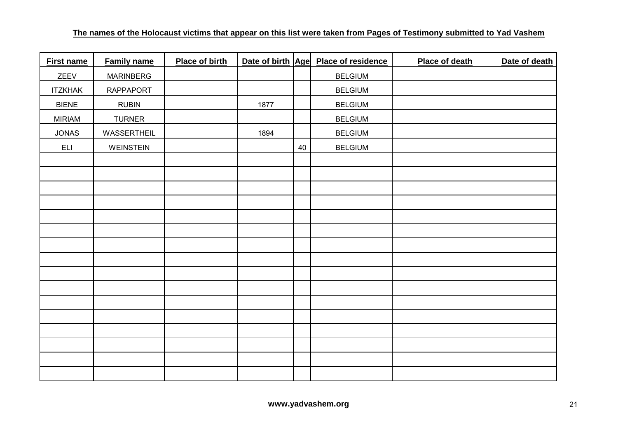| <b>First name</b> | <b>Family name</b> | <b>Place of birth</b> |      |    | Date of birth Age Place of residence | Place of death | Date of death |
|-------------------|--------------------|-----------------------|------|----|--------------------------------------|----------------|---------------|
| ZEEV              | <b>MARINBERG</b>   |                       |      |    | <b>BELGIUM</b>                       |                |               |
| <b>ITZKHAK</b>    | <b>RAPPAPORT</b>   |                       |      |    | <b>BELGIUM</b>                       |                |               |
| <b>BIENE</b>      | <b>RUBIN</b>       |                       | 1877 |    | <b>BELGIUM</b>                       |                |               |
| <b>MIRIAM</b>     | <b>TURNER</b>      |                       |      |    | <b>BELGIUM</b>                       |                |               |
| <b>JONAS</b>      | WASSERTHEIL        |                       | 1894 |    | <b>BELGIUM</b>                       |                |               |
| <b>ELI</b>        | WEINSTEIN          |                       |      | 40 | <b>BELGIUM</b>                       |                |               |
|                   |                    |                       |      |    |                                      |                |               |
|                   |                    |                       |      |    |                                      |                |               |
|                   |                    |                       |      |    |                                      |                |               |
|                   |                    |                       |      |    |                                      |                |               |
|                   |                    |                       |      |    |                                      |                |               |
|                   |                    |                       |      |    |                                      |                |               |
|                   |                    |                       |      |    |                                      |                |               |
|                   |                    |                       |      |    |                                      |                |               |
|                   |                    |                       |      |    |                                      |                |               |
|                   |                    |                       |      |    |                                      |                |               |
|                   |                    |                       |      |    |                                      |                |               |
|                   |                    |                       |      |    |                                      |                |               |
|                   |                    |                       |      |    |                                      |                |               |
|                   |                    |                       |      |    |                                      |                |               |
|                   |                    |                       |      |    |                                      |                |               |
|                   |                    |                       |      |    |                                      |                |               |